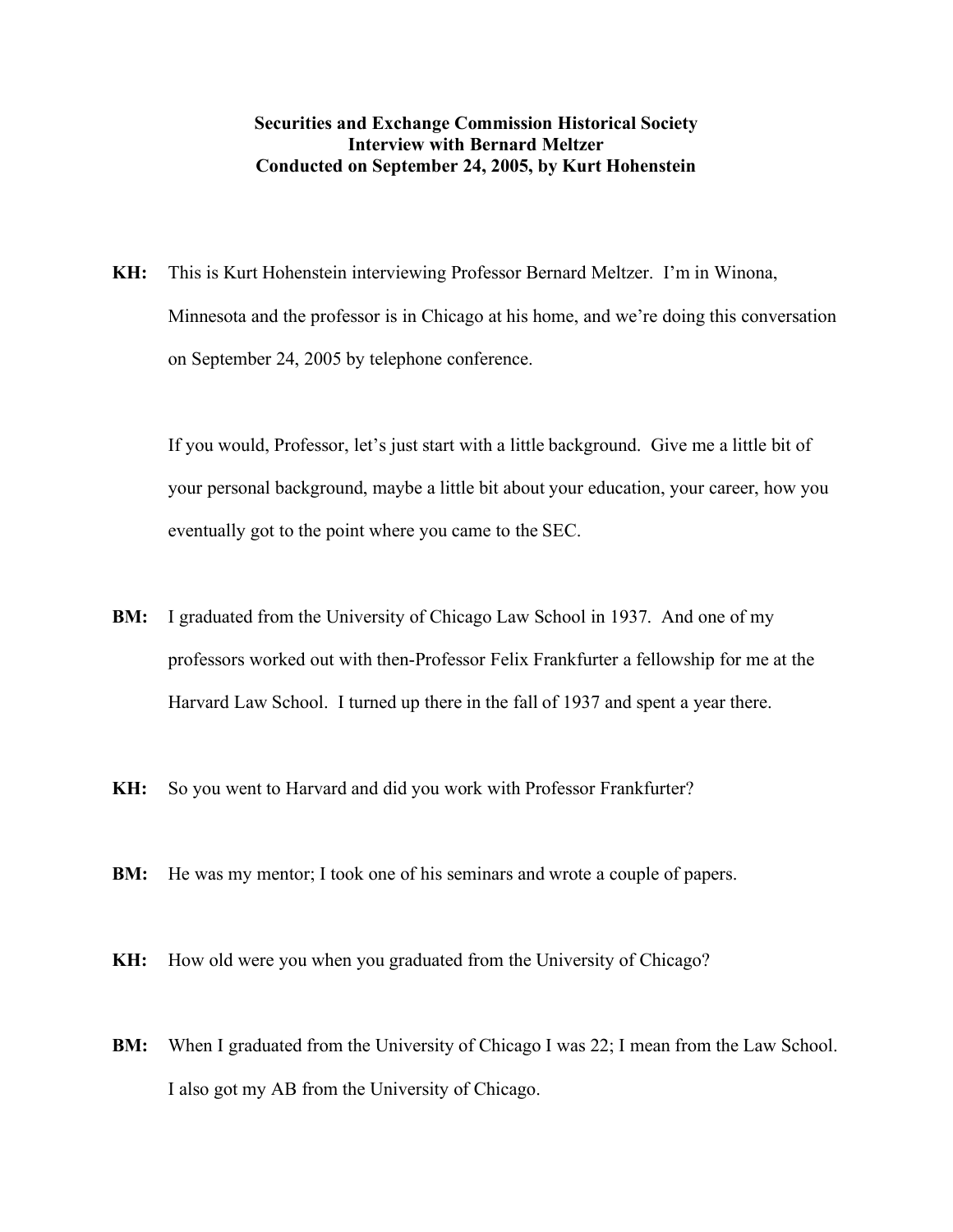## **Securities and Exchange Commission Historical Society Interview with Bernard Meltzer Conducted on September 24, 2005, by Kurt Hohenstein**

**KH:** This is Kurt Hohenstein interviewing Professor Bernard Meltzer. I'm in Winona, Minnesota and the professor is in Chicago at his home, and we're doing this conversation on September 24, 2005 by telephone conference.

If you would, Professor, let's just start with a little background. Give me a little bit of your personal background, maybe a little bit about your education, your career, how you eventually got to the point where you came to the SEC.

- **BM:** I graduated from the University of Chicago Law School in 1937. And one of my professors worked out with then-Professor Felix Frankfurter a fellowship for me at the Harvard Law School. I turned up there in the fall of 1937 and spent a year there.
- **KH:** So you went to Harvard and did you work with Professor Frankfurter?
- **BM:** He was my mentor; I took one of his seminars and wrote a couple of papers.
- **KH:** How old were you when you graduated from the University of Chicago?
- **BM:** When I graduated from the University of Chicago I was 22; I mean from the Law School. I also got my AB from the University of Chicago.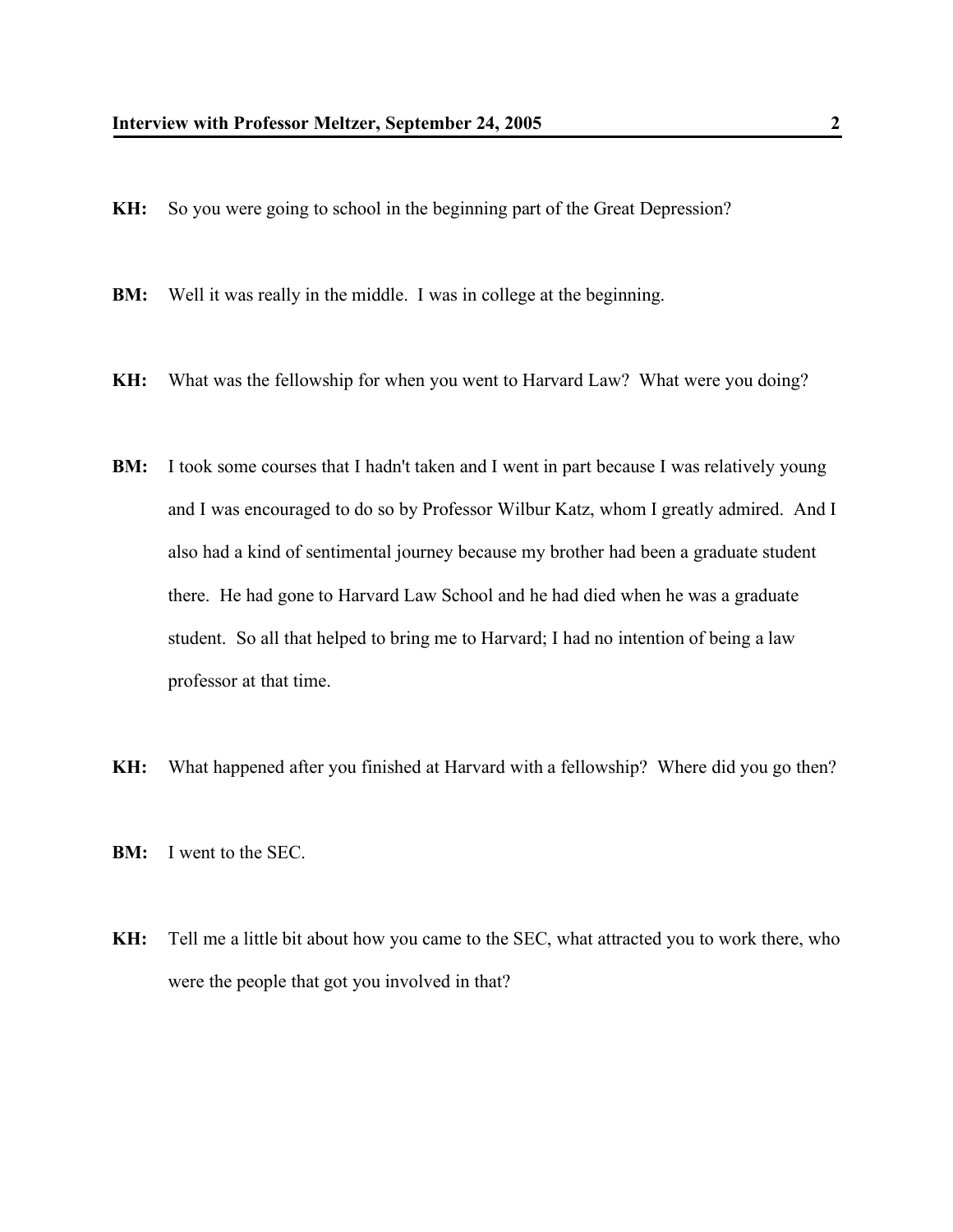- **KH:** So you were going to school in the beginning part of the Great Depression?
- **BM:** Well it was really in the middle. I was in college at the beginning.
- **KH:** What was the fellowship for when you went to Harvard Law? What were you doing?
- **BM:** I took some courses that I hadn't taken and I went in part because I was relatively young and I was encouraged to do so by Professor Wilbur Katz, whom I greatly admired. And I also had a kind of sentimental journey because my brother had been a graduate student there. He had gone to Harvard Law School and he had died when he was a graduate student. So all that helped to bring me to Harvard; I had no intention of being a law professor at that time.
- **KH:** What happened after you finished at Harvard with a fellowship? Where did you go then?
- **BM:** I went to the SEC.
- **KH:** Tell me a little bit about how you came to the SEC, what attracted you to work there, who were the people that got you involved in that?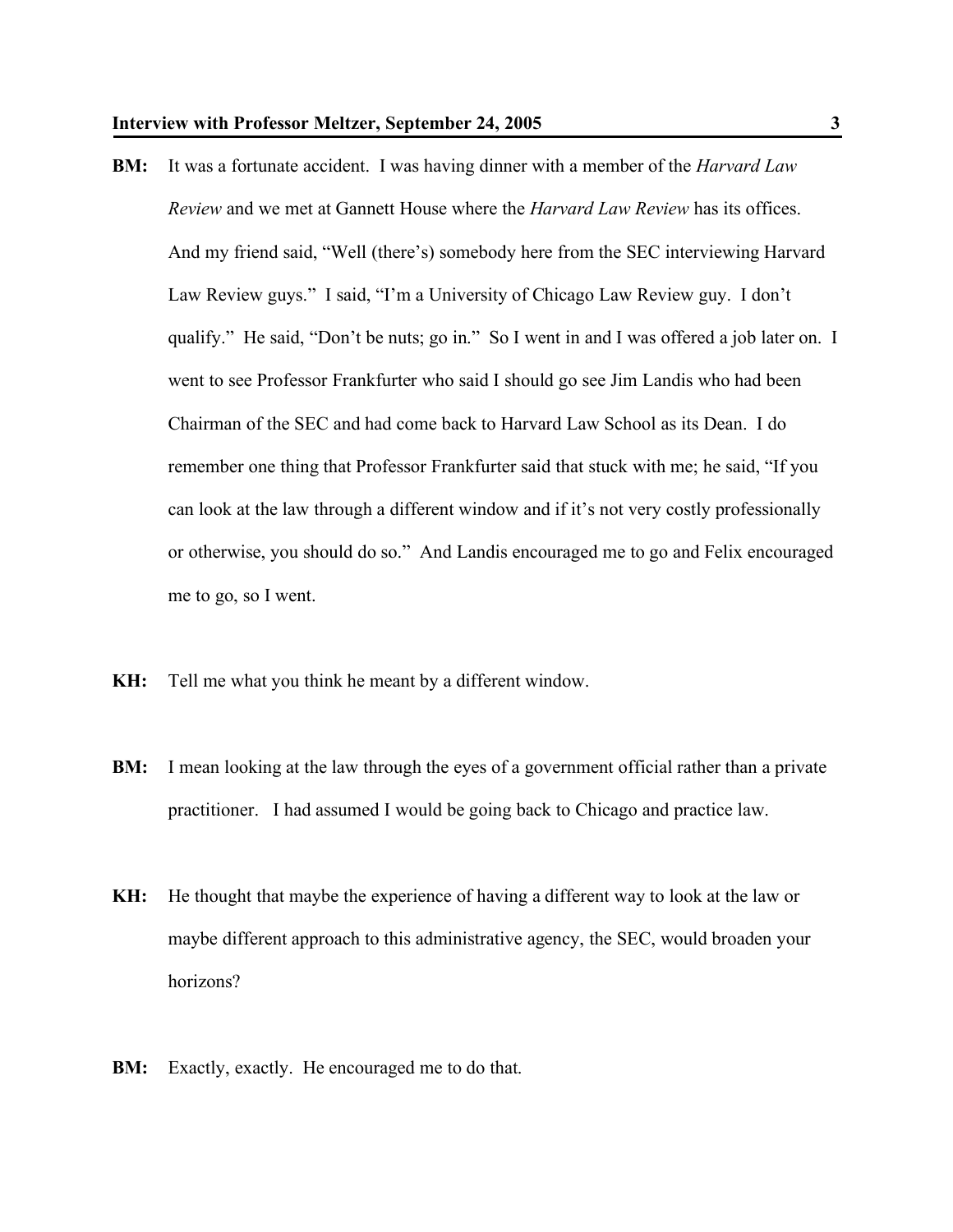- **BM:** It was a fortunate accident. I was having dinner with a member of the *Harvard Law Review* and we met at Gannett House where the *Harvard Law Review* has its offices. And my friend said, "Well (there's) somebody here from the SEC interviewing Harvard Law Review guys." I said, "I'm a University of Chicago Law Review guy. I don't qualify." He said, "Don't be nuts; go in." So I went in and I was offered a job later on. I went to see Professor Frankfurter who said I should go see Jim Landis who had been Chairman of the SEC and had come back to Harvard Law School as its Dean. I do remember one thing that Professor Frankfurter said that stuck with me; he said, "If you can look at the law through a different window and if it's not very costly professionally or otherwise, you should do so." And Landis encouraged me to go and Felix encouraged me to go, so I went.
- **KH:** Tell me what you think he meant by a different window.
- **BM:** I mean looking at the law through the eyes of a government official rather than a private practitioner. I had assumed I would be going back to Chicago and practice law.
- **KH:** He thought that maybe the experience of having a different way to look at the law or maybe different approach to this administrative agency, the SEC, would broaden your horizons?
- **BM:** Exactly, exactly. He encouraged me to do that.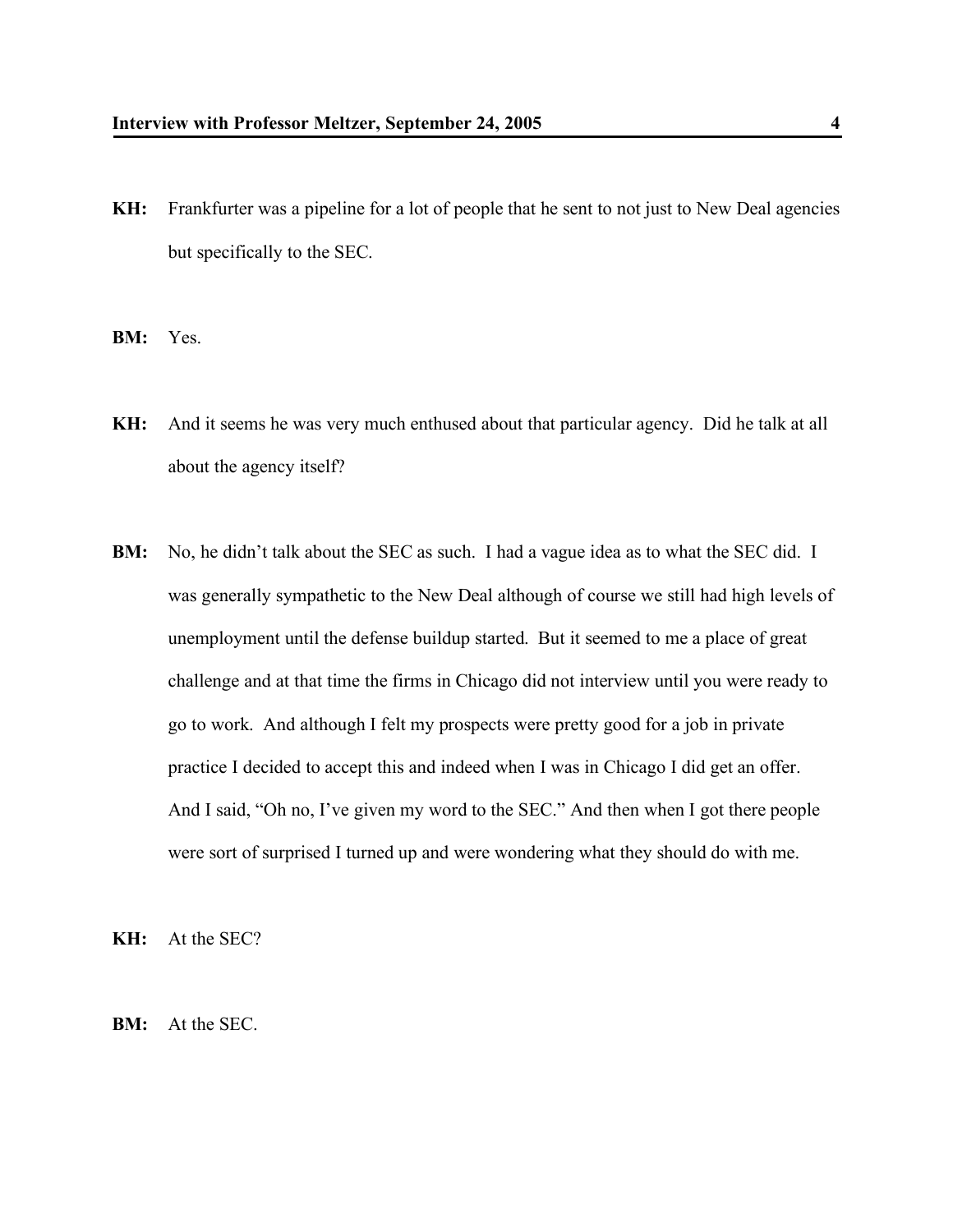- **KH:** Frankfurter was a pipeline for a lot of people that he sent to not just to New Deal agencies but specifically to the SEC.
- **BM:** Yes.
- **KH:** And it seems he was very much enthused about that particular agency. Did he talk at all about the agency itself?
- **BM:** No, he didn't talk about the SEC as such. I had a vague idea as to what the SEC did. I was generally sympathetic to the New Deal although of course we still had high levels of unemployment until the defense buildup started. But it seemed to me a place of great challenge and at that time the firms in Chicago did not interview until you were ready to go to work. And although I felt my prospects were pretty good for a job in private practice I decided to accept this and indeed when I was in Chicago I did get an offer. And I said, "Oh no, I've given my word to the SEC." And then when I got there people were sort of surprised I turned up and were wondering what they should do with me.

**KH:** At the SEC?

**BM:** At the SEC.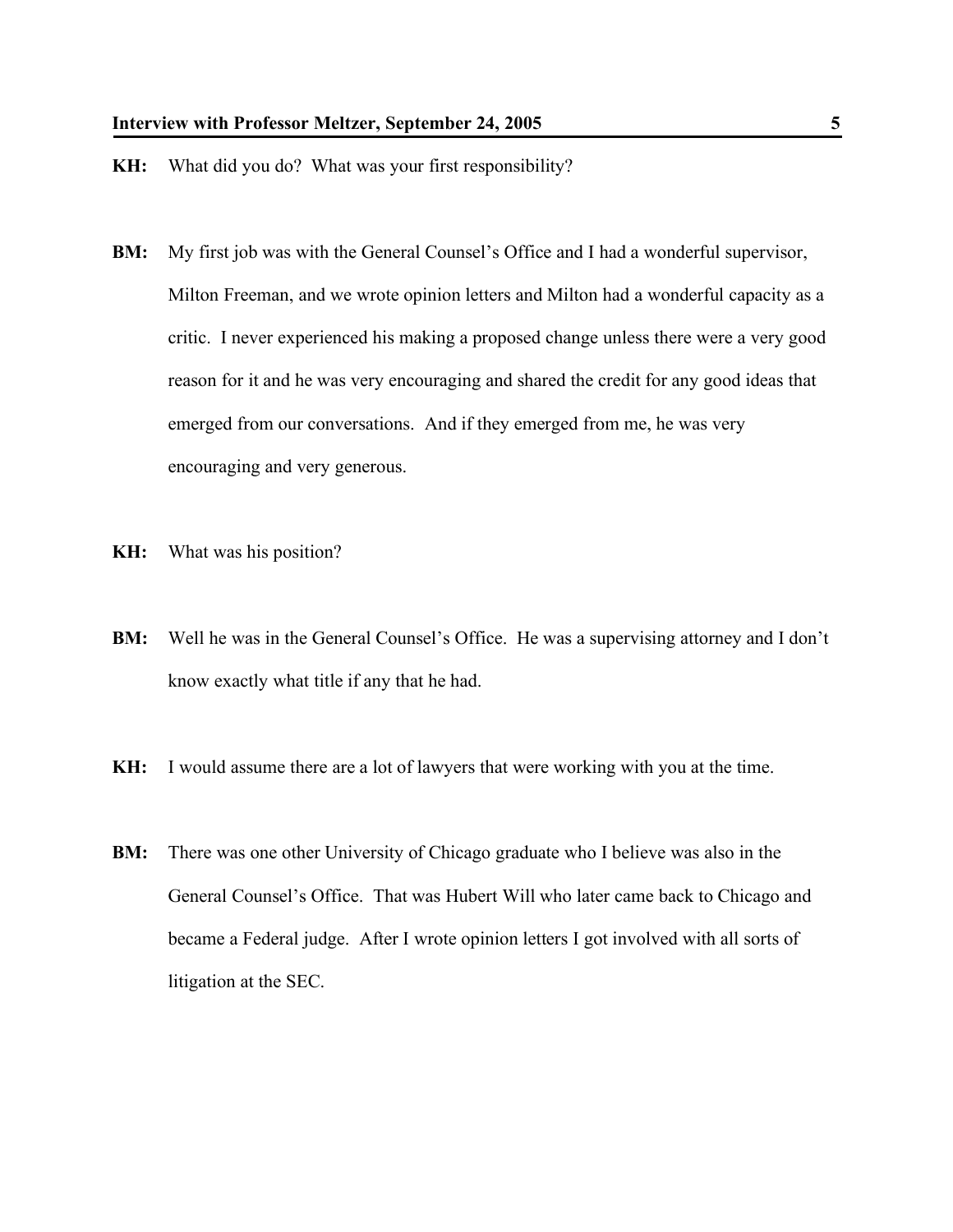- **KH:** What did you do? What was your first responsibility?
- **BM:** My first job was with the General Counsel's Office and I had a wonderful supervisor, Milton Freeman, and we wrote opinion letters and Milton had a wonderful capacity as a critic. I never experienced his making a proposed change unless there were a very good reason for it and he was very encouraging and shared the credit for any good ideas that emerged from our conversations. And if they emerged from me, he was very encouraging and very generous.
- **KH:** What was his position?
- **BM:** Well he was in the General Counsel's Office. He was a supervising attorney and I don't know exactly what title if any that he had.
- **KH:** I would assume there are a lot of lawyers that were working with you at the time.
- **BM:** There was one other University of Chicago graduate who I believe was also in the General Counsel's Office. That was Hubert Will who later came back to Chicago and became a Federal judge. After I wrote opinion letters I got involved with all sorts of litigation at the SEC.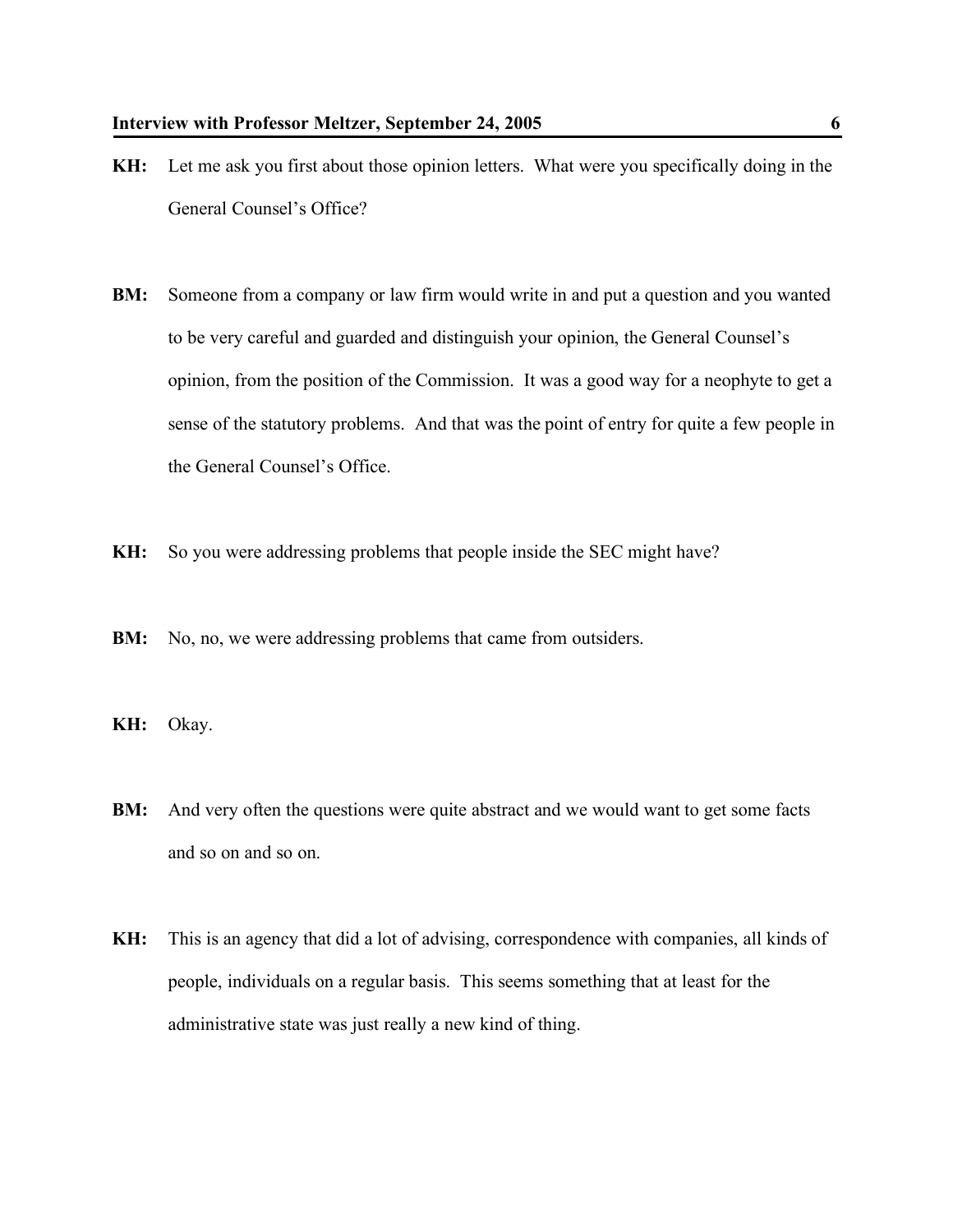- **KH:** Let me ask you first about those opinion letters. What were you specifically doing in the General Counsel's Office?
- **BM:** Someone from a company or law firm would write in and put a question and you wanted to be very careful and guarded and distinguish your opinion, the General Counsel's opinion, from the position of the Commission. It was a good way for a neophyte to get a sense of the statutory problems. And that was the point of entry for quite a few people in the General Counsel's Office.
- **KH:** So you were addressing problems that people inside the SEC might have?
- **BM:** No, no, we were addressing problems that came from outsiders.
- **KH:** Okay.
- **BM:** And very often the questions were quite abstract and we would want to get some facts and so on and so on.
- **KH:** This is an agency that did a lot of advising, correspondence with companies, all kinds of people, individuals on a regular basis. This seems something that at least for the administrative state was just really a new kind of thing.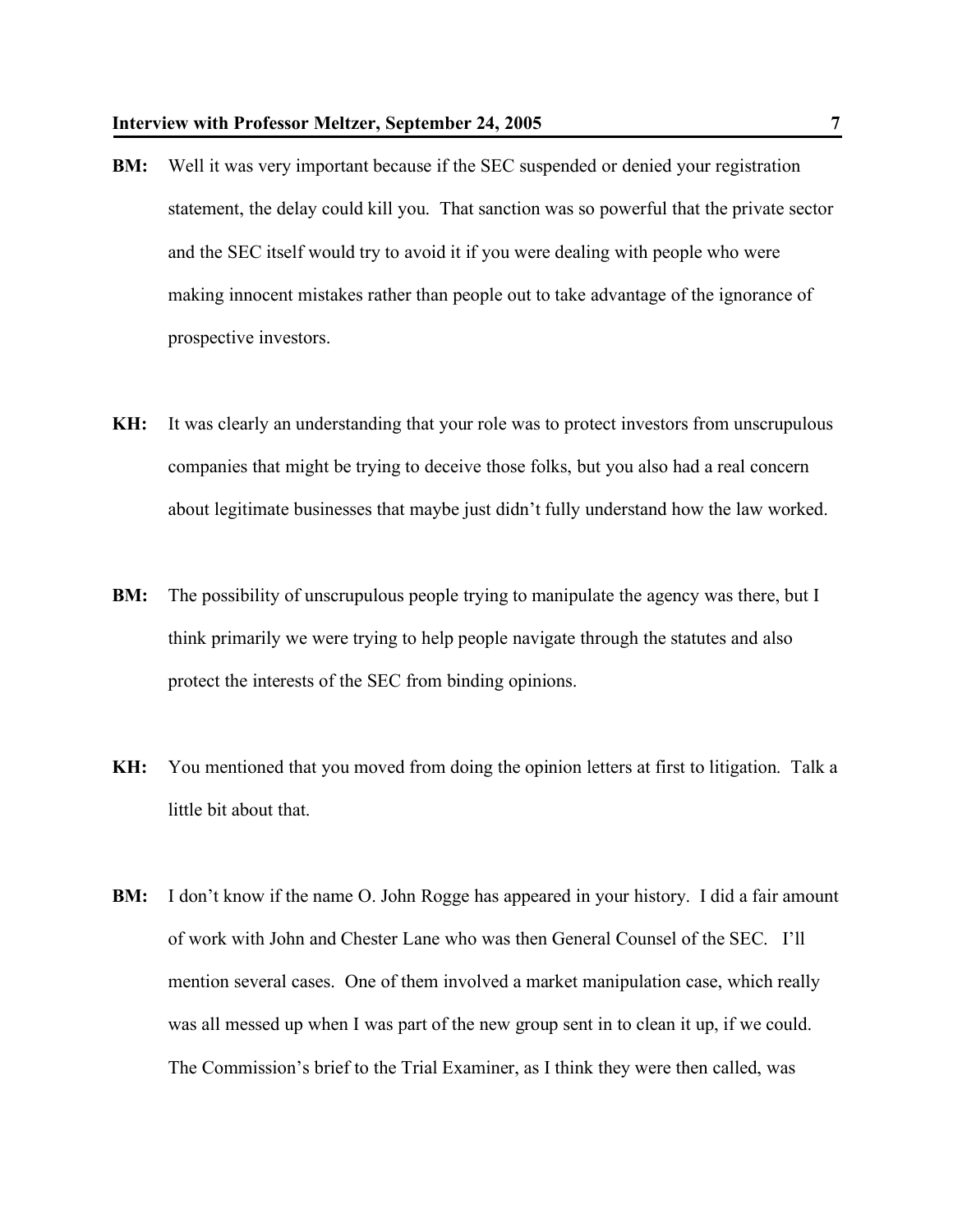- **BM:** Well it was very important because if the SEC suspended or denied your registration statement, the delay could kill you. That sanction was so powerful that the private sector and the SEC itself would try to avoid it if you were dealing with people who were making innocent mistakes rather than people out to take advantage of the ignorance of prospective investors.
- **KH:** It was clearly an understanding that your role was to protect investors from unscrupulous companies that might be trying to deceive those folks, but you also had a real concern about legitimate businesses that maybe just didn't fully understand how the law worked.
- **BM:** The possibility of unscrupulous people trying to manipulate the agency was there, but I think primarily we were trying to help people navigate through the statutes and also protect the interests of the SEC from binding opinions.
- **KH:** You mentioned that you moved from doing the opinion letters at first to litigation. Talk a little bit about that.
- **BM:** I don't know if the name O. John Rogge has appeared in your history. I did a fair amount of work with John and Chester Lane who was then General Counsel of the SEC. I'll mention several cases. One of them involved a market manipulation case, which really was all messed up when I was part of the new group sent in to clean it up, if we could. The Commission's brief to the Trial Examiner, as I think they were then called, was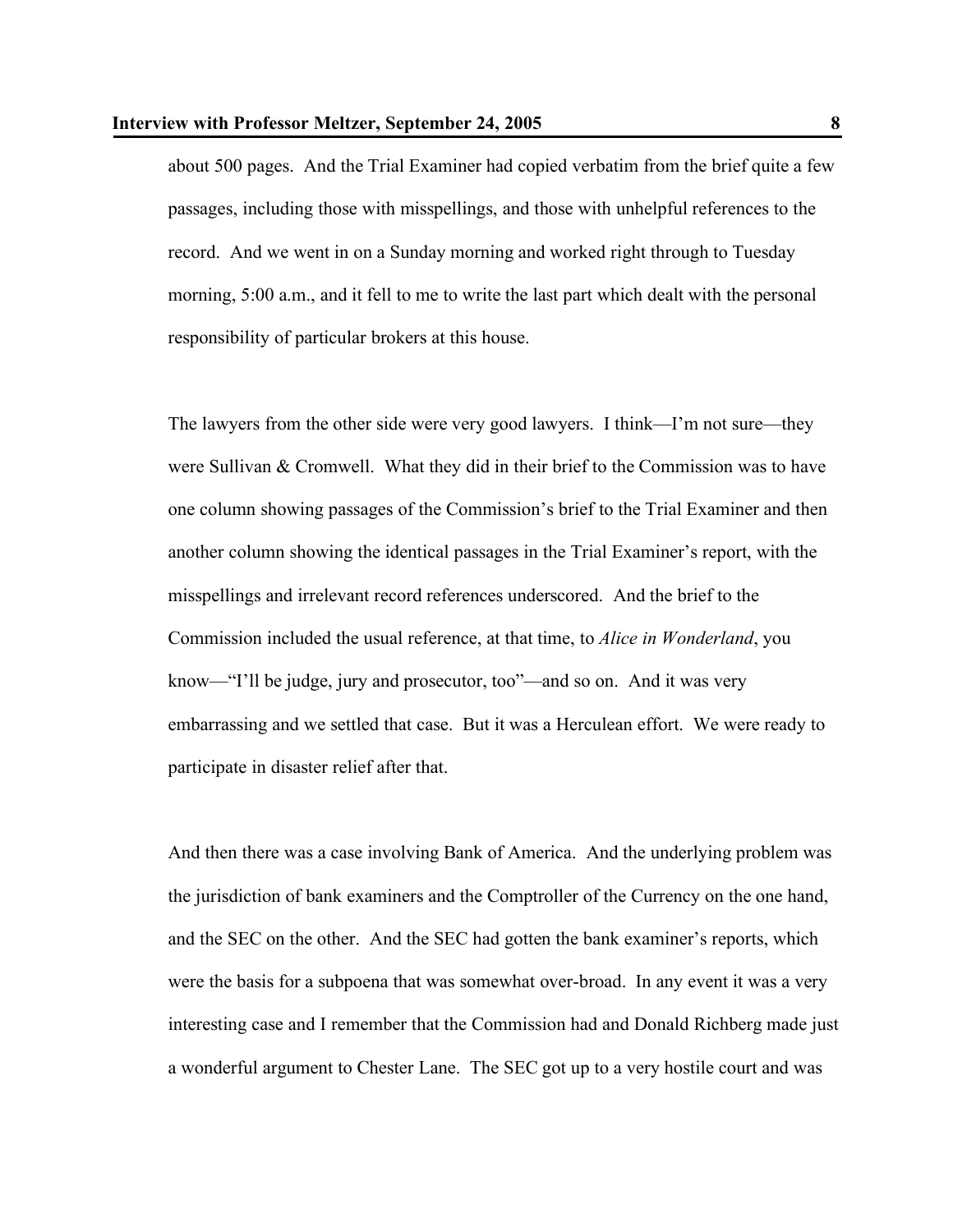about 500 pages. And the Trial Examiner had copied verbatim from the brief quite a few passages, including those with misspellings, and those with unhelpful references to the record. And we went in on a Sunday morning and worked right through to Tuesday morning, 5:00 a.m., and it fell to me to write the last part which dealt with the personal responsibility of particular brokers at this house.

The lawyers from the other side were very good lawyers. I think—I'm not sure—they were Sullivan & Cromwell. What they did in their brief to the Commission was to have one column showing passages of the Commission's brief to the Trial Examiner and then another column showing the identical passages in the Trial Examiner's report, with the misspellings and irrelevant record references underscored. And the brief to the Commission included the usual reference, at that time, to *Alice in Wonderland*, you know—"I'll be judge, jury and prosecutor, too"—and so on. And it was very embarrassing and we settled that case. But it was a Herculean effort. We were ready to participate in disaster relief after that.

And then there was a case involving Bank of America. And the underlying problem was the jurisdiction of bank examiners and the Comptroller of the Currency on the one hand, and the SEC on the other. And the SEC had gotten the bank examiner's reports, which were the basis for a subpoena that was somewhat over-broad. In any event it was a very interesting case and I remember that the Commission had and Donald Richberg made just a wonderful argument to Chester Lane. The SEC got up to a very hostile court and was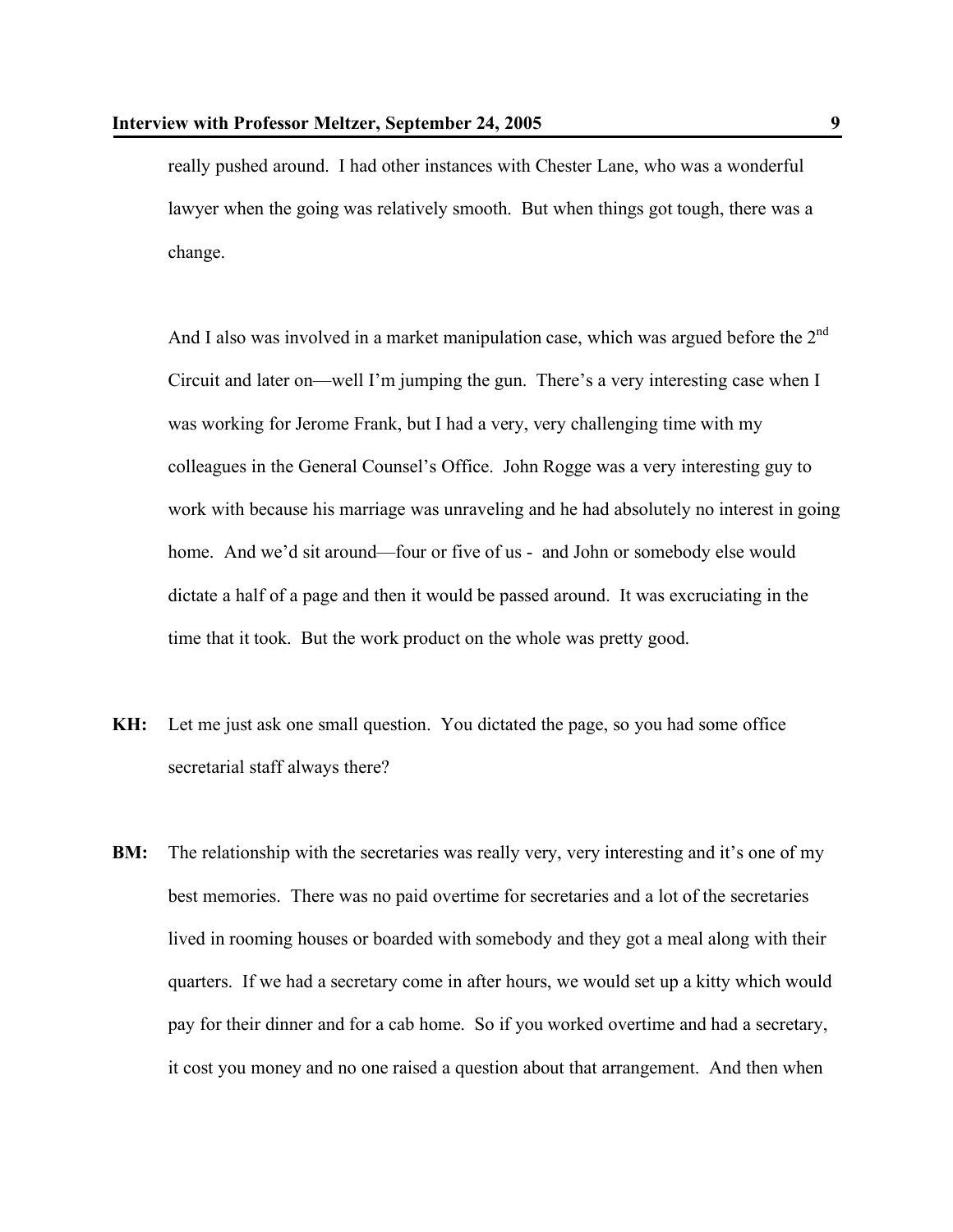really pushed around. I had other instances with Chester Lane, who was a wonderful lawyer when the going was relatively smooth. But when things got tough, there was a change.

And I also was involved in a market manipulation case, which was argued before the 2<sup>nd</sup> Circuit and later on—well I'm jumping the gun. There's a very interesting case when I was working for Jerome Frank, but I had a very, very challenging time with my colleagues in the General Counsel's Office. John Rogge was a very interesting guy to work with because his marriage was unraveling and he had absolutely no interest in going home. And we'd sit around—four or five of us - and John or somebody else would dictate a half of a page and then it would be passed around. It was excruciating in the time that it took. But the work product on the whole was pretty good.

- **KH:** Let me just ask one small question. You dictated the page, so you had some office secretarial staff always there?
- **BM:** The relationship with the secretaries was really very, very interesting and it's one of my best memories. There was no paid overtime for secretaries and a lot of the secretaries lived in rooming houses or boarded with somebody and they got a meal along with their quarters. If we had a secretary come in after hours, we would set up a kitty which would pay for their dinner and for a cab home. So if you worked overtime and had a secretary, it cost you money and no one raised a question about that arrangement. And then when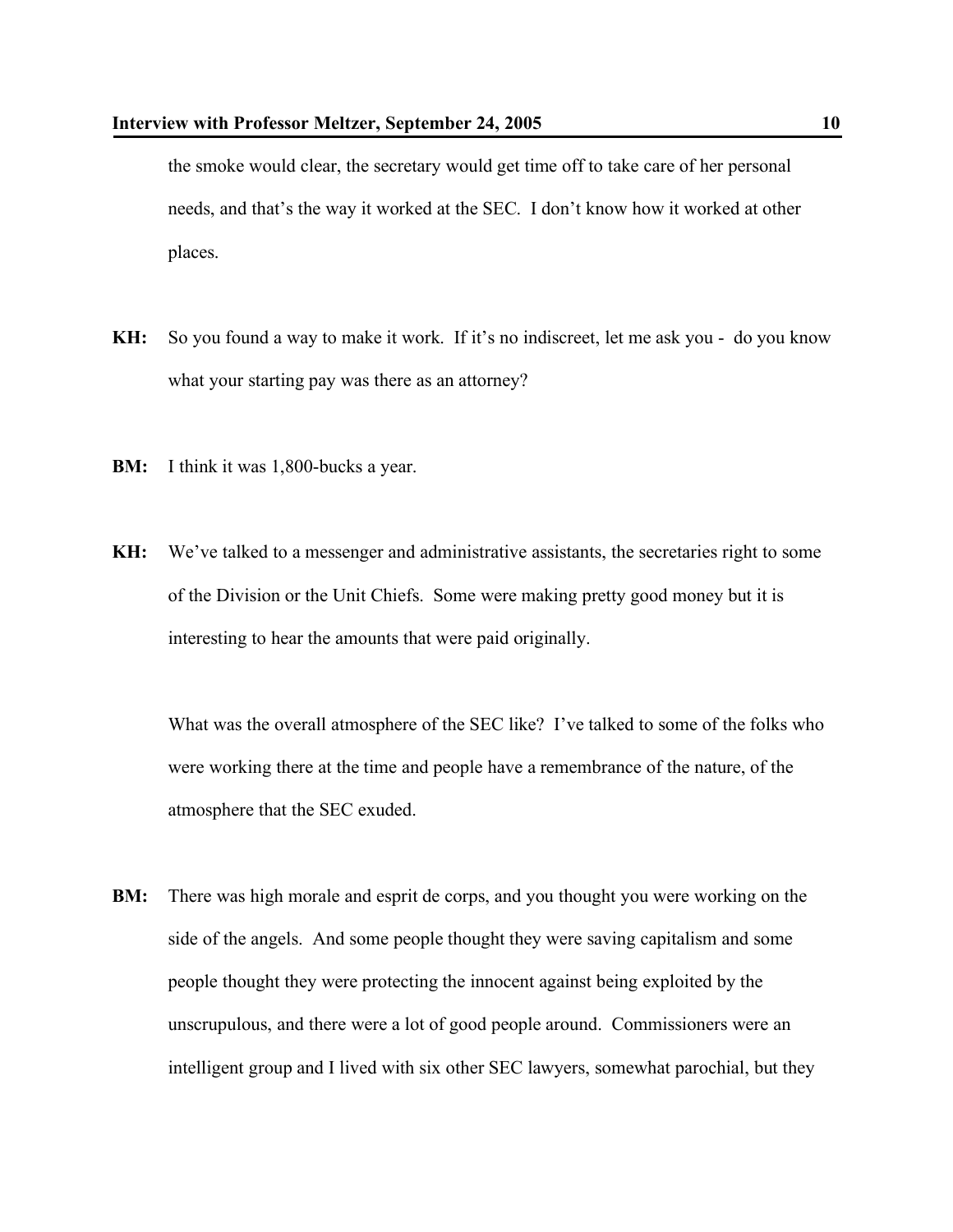the smoke would clear, the secretary would get time off to take care of her personal needs, and that's the way it worked at the SEC. I don't know how it worked at other places.

- **KH:** So you found a way to make it work. If it's no indiscreet, let me ask you do you know what your starting pay was there as an attorney?
- **BM:** I think it was 1,800-bucks a year.
- **KH:** We've talked to a messenger and administrative assistants, the secretaries right to some of the Division or the Unit Chiefs. Some were making pretty good money but it is interesting to hear the amounts that were paid originally.

What was the overall atmosphere of the SEC like? I've talked to some of the folks who were working there at the time and people have a remembrance of the nature, of the atmosphere that the SEC exuded.

**BM:** There was high morale and esprit de corps, and you thought you were working on the side of the angels. And some people thought they were saving capitalism and some people thought they were protecting the innocent against being exploited by the unscrupulous, and there were a lot of good people around. Commissioners were an intelligent group and I lived with six other SEC lawyers, somewhat parochial, but they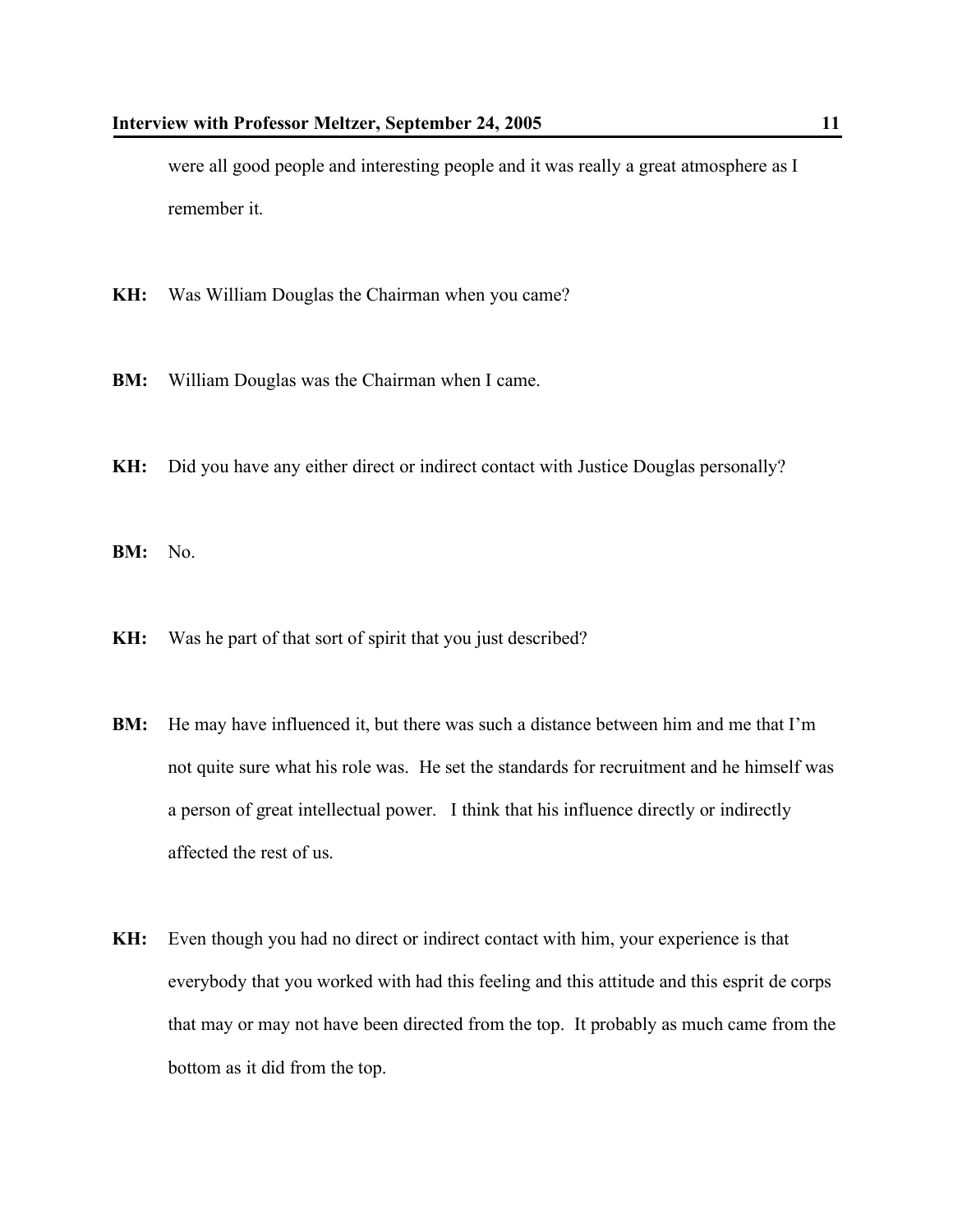were all good people and interesting people and it was really a great atmosphere as I remember it.

- **KH:** Was William Douglas the Chairman when you came?
- **BM:** William Douglas was the Chairman when I came.
- **KH:** Did you have any either direct or indirect contact with Justice Douglas personally?

**BM:** No.

- **KH:** Was he part of that sort of spirit that you just described?
- **BM:** He may have influenced it, but there was such a distance between him and me that I'm not quite sure what his role was. He set the standards for recruitment and he himself was a person of great intellectual power. I think that his influence directly or indirectly affected the rest of us.
- **KH:** Even though you had no direct or indirect contact with him, your experience is that everybody that you worked with had this feeling and this attitude and this esprit de corps that may or may not have been directed from the top. It probably as much came from the bottom as it did from the top.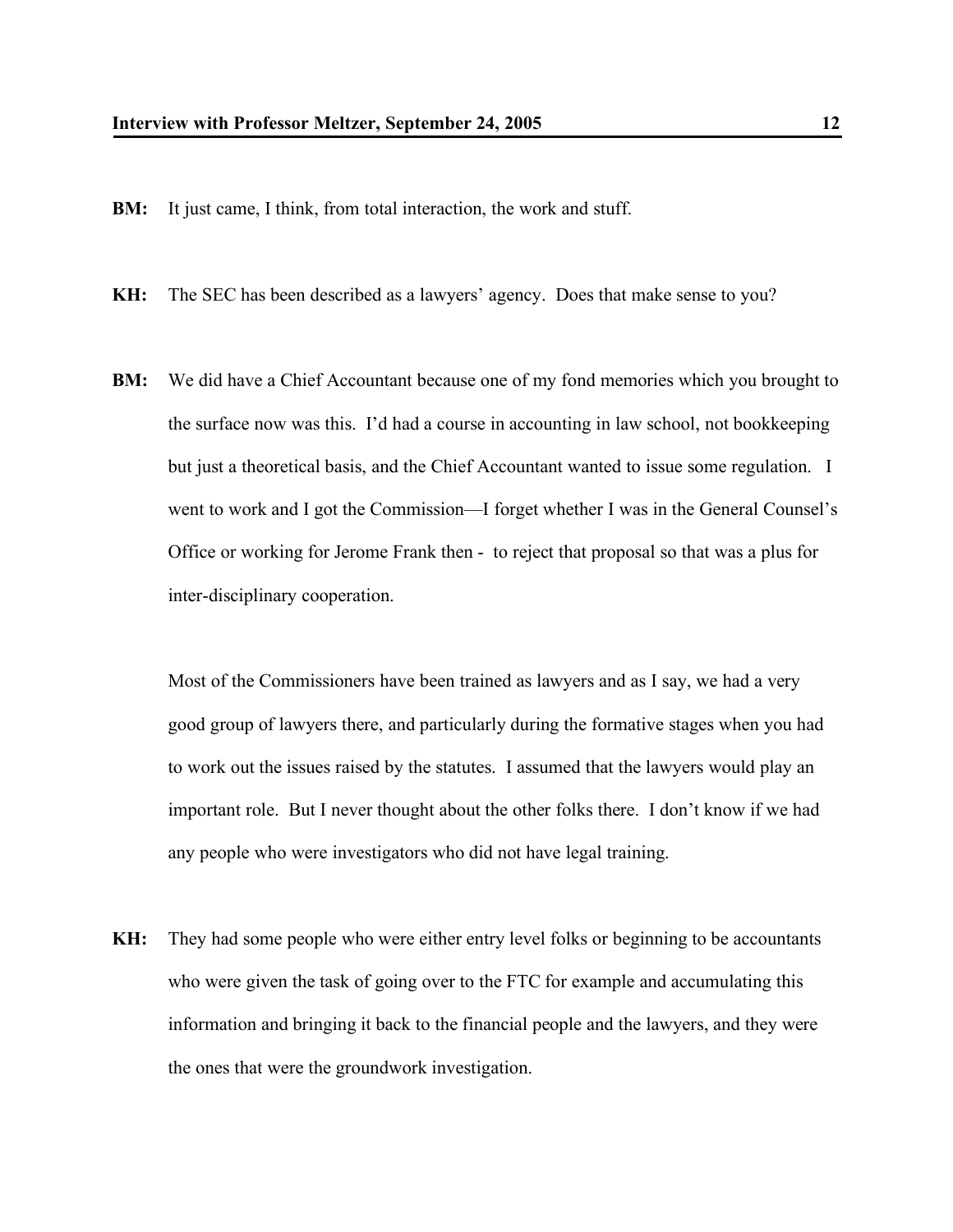**BM:** It just came, I think, from total interaction, the work and stuff.

**KH:** The SEC has been described as a lawyers' agency. Does that make sense to you?

**BM:** We did have a Chief Accountant because one of my fond memories which you brought to the surface now was this. I'd had a course in accounting in law school, not bookkeeping but just a theoretical basis, and the Chief Accountant wanted to issue some regulation. I went to work and I got the Commission—I forget whether I was in the General Counsel's Office or working for Jerome Frank then - to reject that proposal so that was a plus for inter-disciplinary cooperation.

Most of the Commissioners have been trained as lawyers and as I say, we had a very good group of lawyers there, and particularly during the formative stages when you had to work out the issues raised by the statutes. I assumed that the lawyers would play an important role. But I never thought about the other folks there. I don't know if we had any people who were investigators who did not have legal training.

**KH:** They had some people who were either entry level folks or beginning to be accountants who were given the task of going over to the FTC for example and accumulating this information and bringing it back to the financial people and the lawyers, and they were the ones that were the groundwork investigation.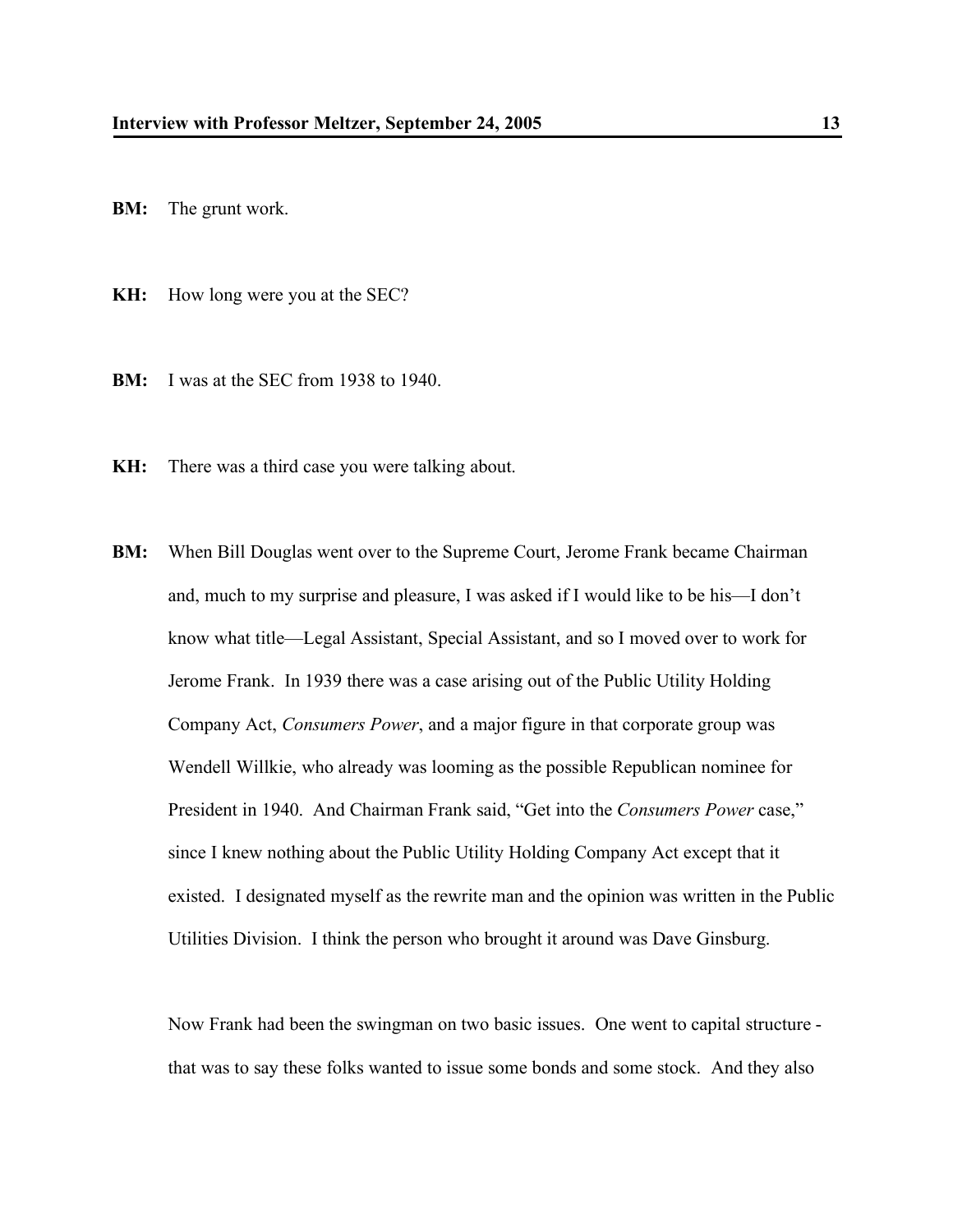**BM:** The grunt work.

**KH:** How long were you at the SEC?

**BM:** I was at the SEC from 1938 to 1940.

**KH:** There was a third case you were talking about.

**BM:** When Bill Douglas went over to the Supreme Court, Jerome Frank became Chairman and, much to my surprise and pleasure, I was asked if I would like to be his—I don't know what title—Legal Assistant, Special Assistant, and so I moved over to work for Jerome Frank. In 1939 there was a case arising out of the Public Utility Holding Company Act, *Consumers Power*, and a major figure in that corporate group was Wendell Willkie, who already was looming as the possible Republican nominee for President in 1940. And Chairman Frank said, "Get into the *Consumers Power* case," since I knew nothing about the Public Utility Holding Company Act except that it existed. I designated myself as the rewrite man and the opinion was written in the Public Utilities Division. I think the person who brought it around was Dave Ginsburg.

Now Frank had been the swingman on two basic issues. One went to capital structure that was to say these folks wanted to issue some bonds and some stock. And they also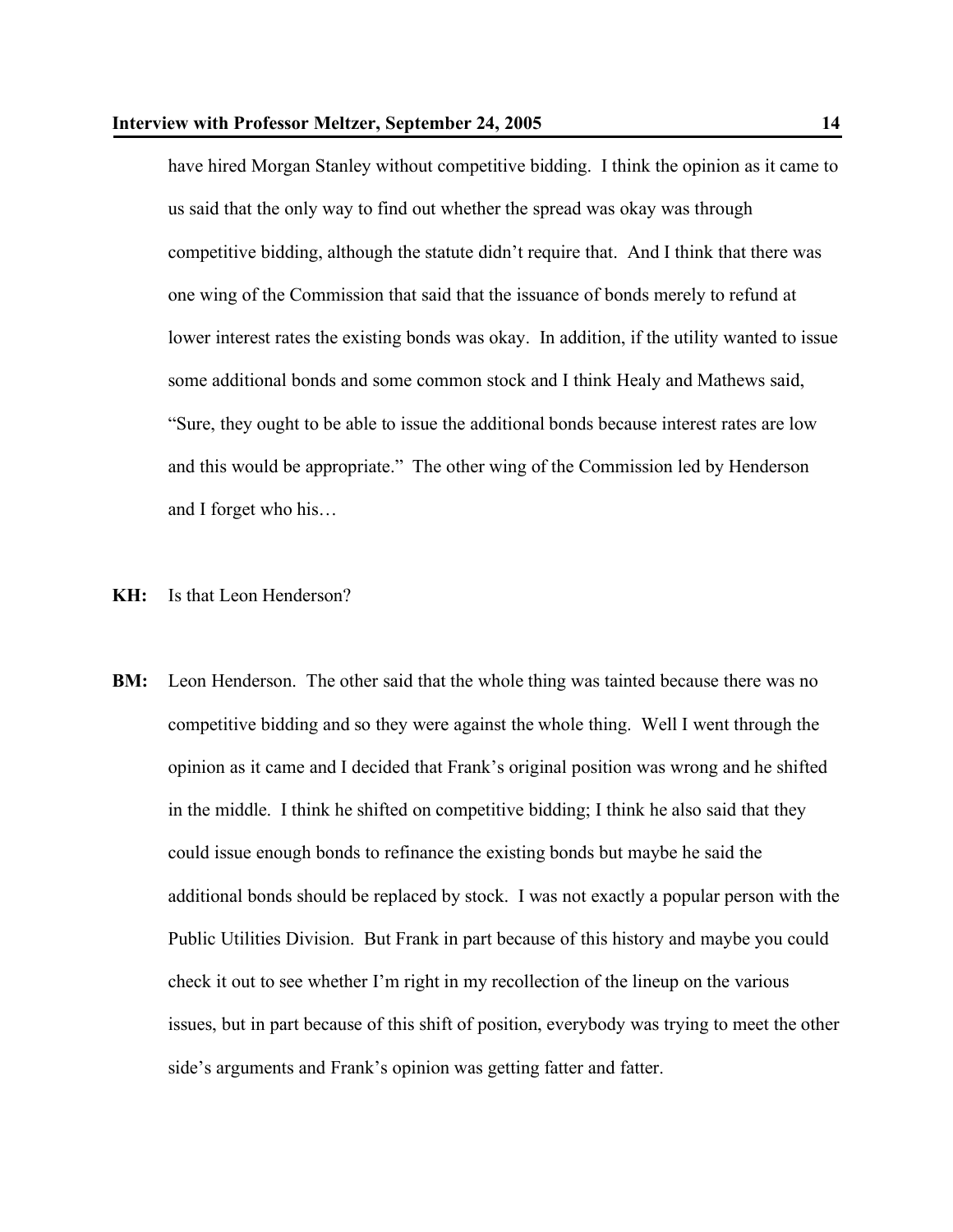have hired Morgan Stanley without competitive bidding. I think the opinion as it came to us said that the only way to find out whether the spread was okay was through competitive bidding, although the statute didn't require that. And I think that there was one wing of the Commission that said that the issuance of bonds merely to refund at lower interest rates the existing bonds was okay. In addition, if the utility wanted to issue some additional bonds and some common stock and I think Healy and Mathews said, "Sure, they ought to be able to issue the additional bonds because interest rates are low and this would be appropriate." The other wing of the Commission led by Henderson and I forget who his…

## **KH:** Is that Leon Henderson?

**BM:** Leon Henderson. The other said that the whole thing was tainted because there was no competitive bidding and so they were against the whole thing. Well I went through the opinion as it came and I decided that Frank's original position was wrong and he shifted in the middle. I think he shifted on competitive bidding; I think he also said that they could issue enough bonds to refinance the existing bonds but maybe he said the additional bonds should be replaced by stock. I was not exactly a popular person with the Public Utilities Division. But Frank in part because of this history and maybe you could check it out to see whether I'm right in my recollection of the lineup on the various issues, but in part because of this shift of position, everybody was trying to meet the other side's arguments and Frank's opinion was getting fatter and fatter.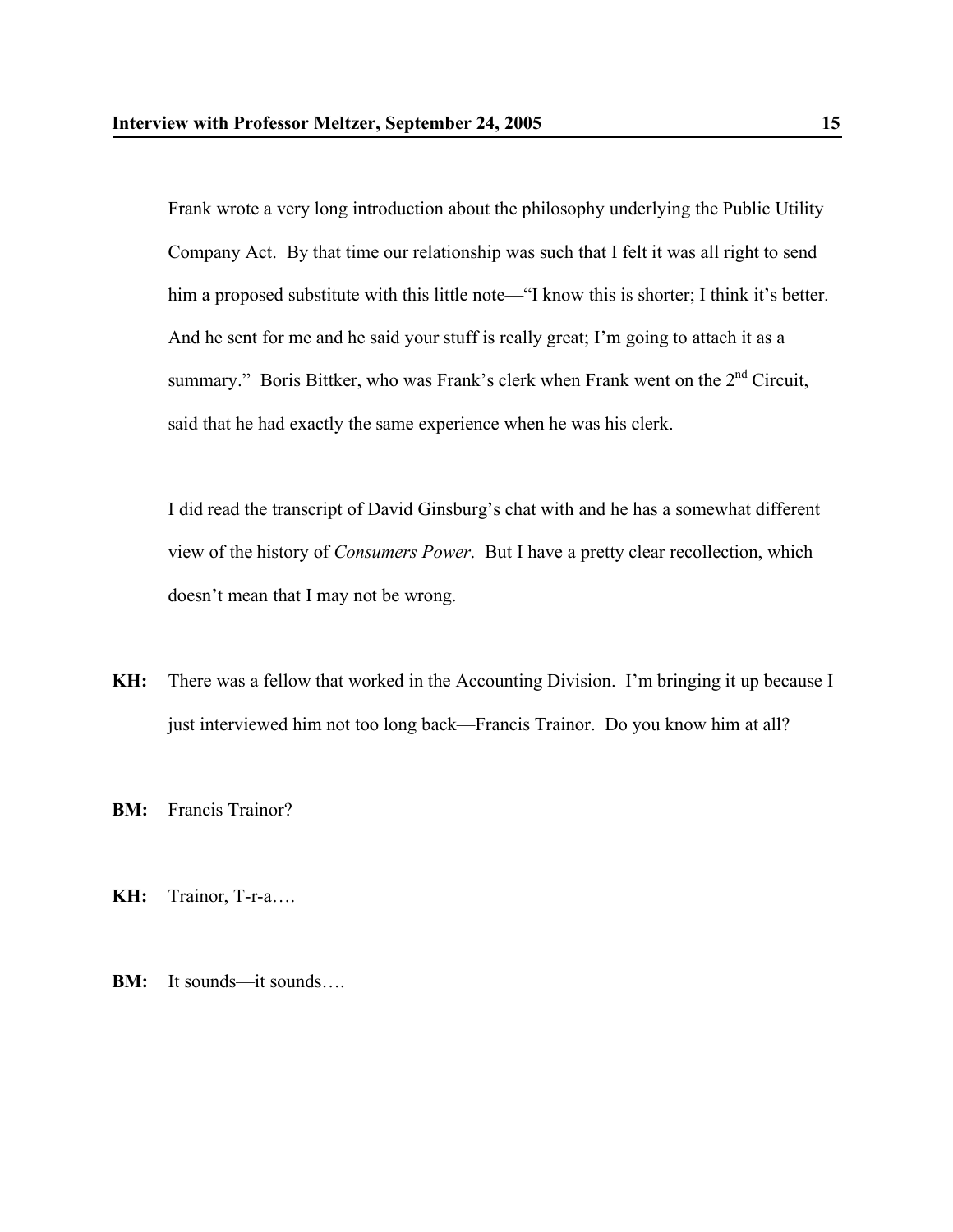Frank wrote a very long introduction about the philosophy underlying the Public Utility Company Act. By that time our relationship was such that I felt it was all right to send him a proposed substitute with this little note—"I know this is shorter; I think it's better. And he sent for me and he said your stuff is really great; I'm going to attach it as a summary." Boris Bittker, who was Frank's clerk when Frank went on the  $2<sup>nd</sup>$  Circuit, said that he had exactly the same experience when he was his clerk.

I did read the transcript of David Ginsburg's chat with and he has a somewhat different view of the history of *Consumers Power*. But I have a pretty clear recollection, which doesn't mean that I may not be wrong.

**KH:** There was a fellow that worked in the Accounting Division. I'm bringing it up because I just interviewed him not too long back—Francis Trainor. Do you know him at all?

**BM:** Francis Trainor?

**KH:** Trainor, T-r-a….

**BM:** It sounds—it sounds….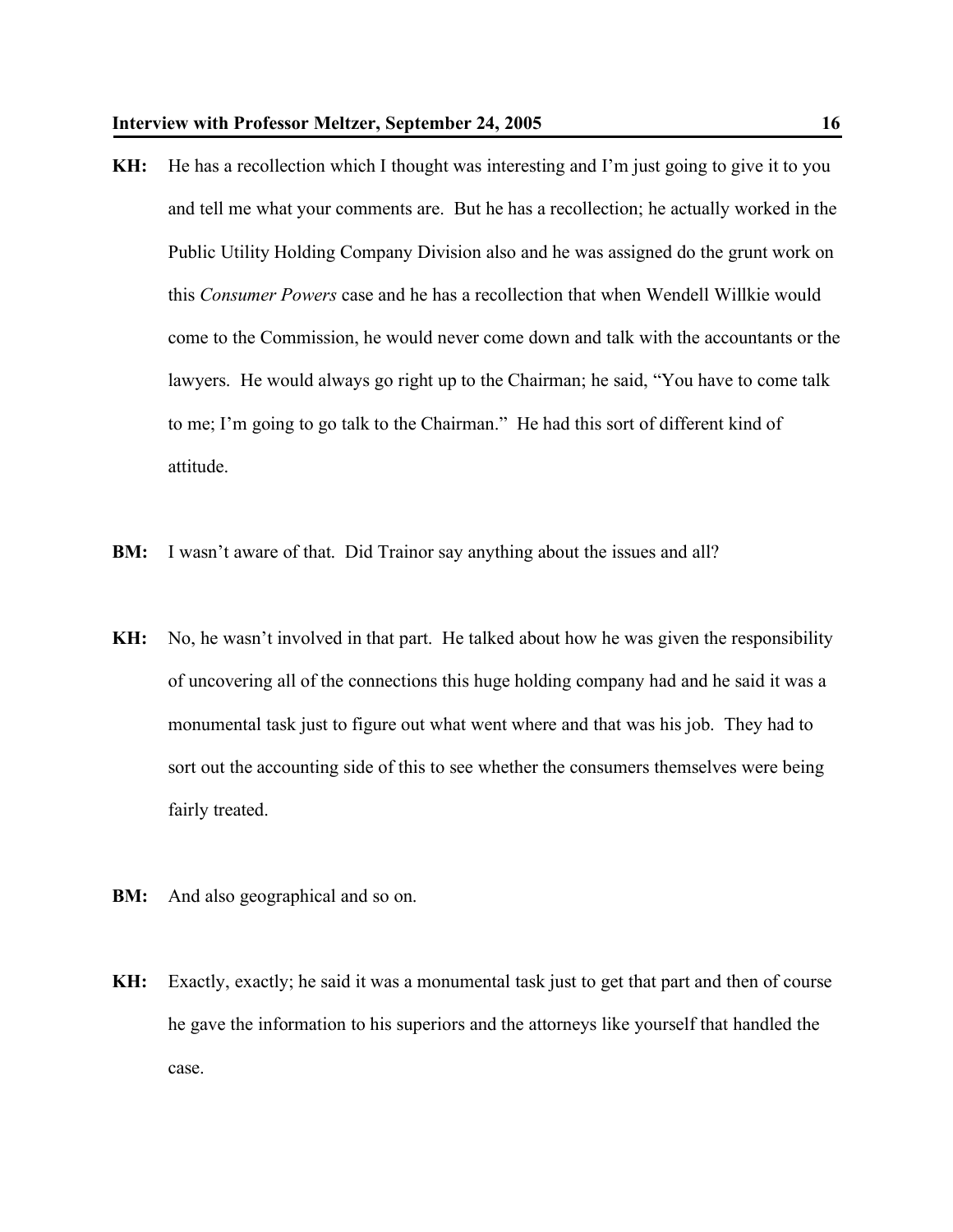- **KH:** He has a recollection which I thought was interesting and I'm just going to give it to you and tell me what your comments are. But he has a recollection; he actually worked in the Public Utility Holding Company Division also and he was assigned do the grunt work on this *Consumer Powers* case and he has a recollection that when Wendell Willkie would come to the Commission, he would never come down and talk with the accountants or the lawyers. He would always go right up to the Chairman; he said, "You have to come talk to me; I'm going to go talk to the Chairman." He had this sort of different kind of attitude.
- **BM:** I wasn't aware of that. Did Trainor say anything about the issues and all?
- **KH:** No, he wasn't involved in that part. He talked about how he was given the responsibility of uncovering all of the connections this huge holding company had and he said it was a monumental task just to figure out what went where and that was his job. They had to sort out the accounting side of this to see whether the consumers themselves were being fairly treated.
- **BM:** And also geographical and so on.
- **KH:** Exactly, exactly; he said it was a monumental task just to get that part and then of course he gave the information to his superiors and the attorneys like yourself that handled the case.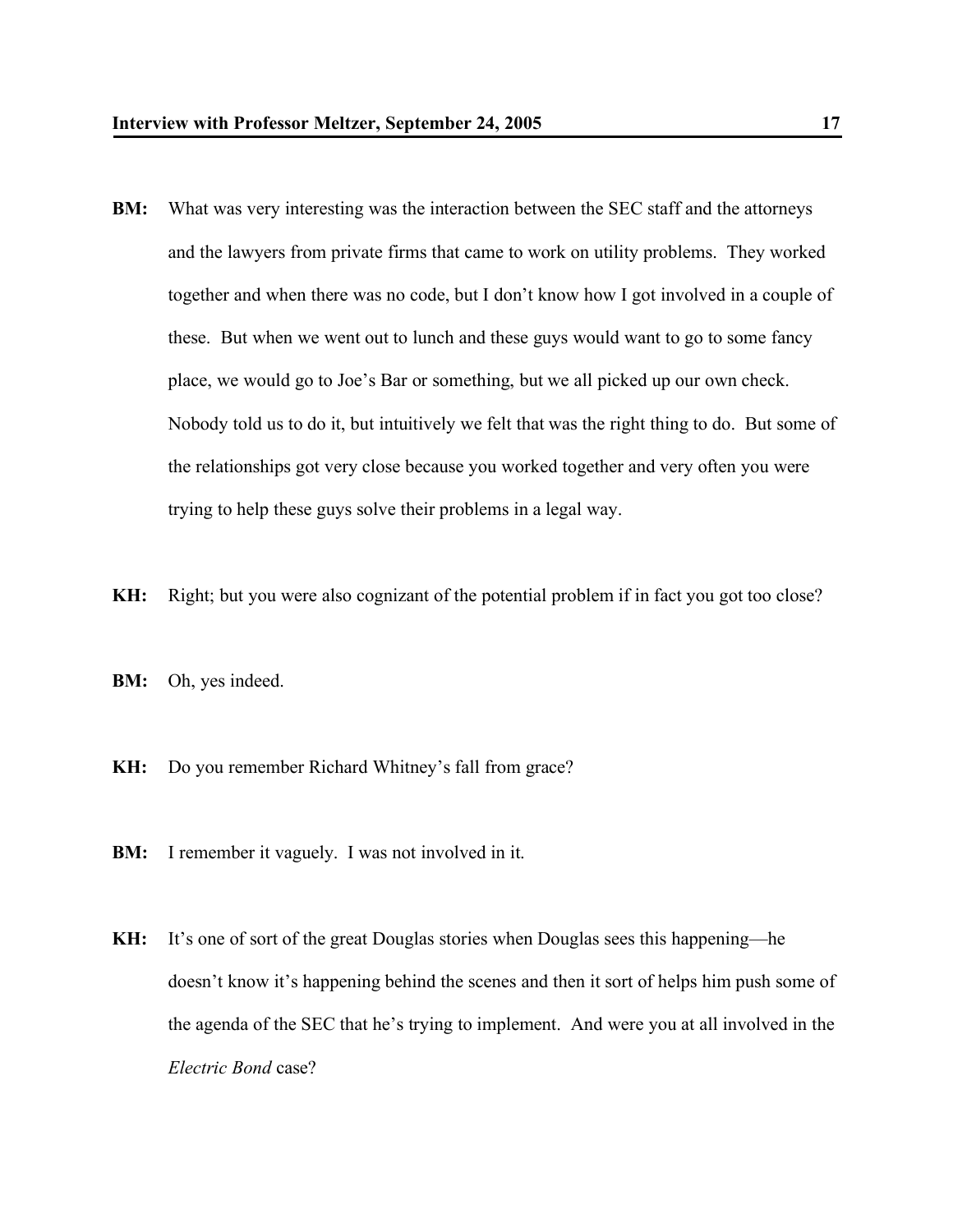- **BM:** What was very interesting was the interaction between the SEC staff and the attorneys and the lawyers from private firms that came to work on utility problems. They worked together and when there was no code, but I don't know how I got involved in a couple of these. But when we went out to lunch and these guys would want to go to some fancy place, we would go to Joe's Bar or something, but we all picked up our own check. Nobody told us to do it, but intuitively we felt that was the right thing to do. But some of the relationships got very close because you worked together and very often you were trying to help these guys solve their problems in a legal way.
- **KH:** Right; but you were also cognizant of the potential problem if in fact you got too close?
- **BM:** Oh, yes indeed.
- **KH:** Do you remember Richard Whitney's fall from grace?
- **BM:** I remember it vaguely. I was not involved in it.
- **KH:** It's one of sort of the great Douglas stories when Douglas sees this happening—he doesn't know it's happening behind the scenes and then it sort of helps him push some of the agenda of the SEC that he's trying to implement. And were you at all involved in the *Electric Bond* case?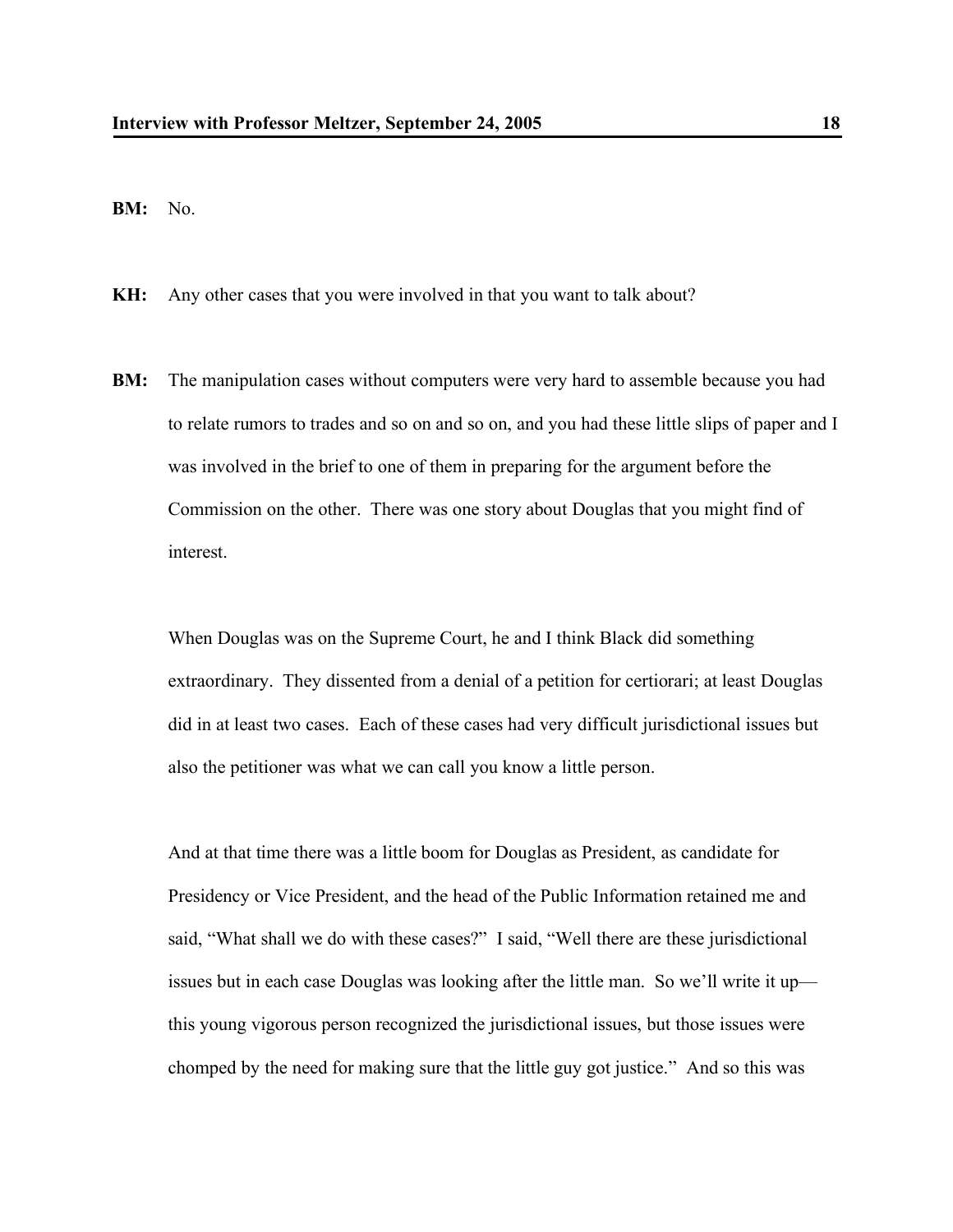**BM:** No.

**KH:** Any other cases that you were involved in that you want to talk about?

**BM:** The manipulation cases without computers were very hard to assemble because you had to relate rumors to trades and so on and so on, and you had these little slips of paper and I was involved in the brief to one of them in preparing for the argument before the Commission on the other. There was one story about Douglas that you might find of interest.

When Douglas was on the Supreme Court, he and I think Black did something extraordinary. They dissented from a denial of a petition for certiorari; at least Douglas did in at least two cases. Each of these cases had very difficult jurisdictional issues but also the petitioner was what we can call you know a little person.

And at that time there was a little boom for Douglas as President, as candidate for Presidency or Vice President, and the head of the Public Information retained me and said, "What shall we do with these cases?" I said, "Well there are these jurisdictional issues but in each case Douglas was looking after the little man. So we'll write it up this young vigorous person recognized the jurisdictional issues, but those issues were chomped by the need for making sure that the little guy got justice." And so this was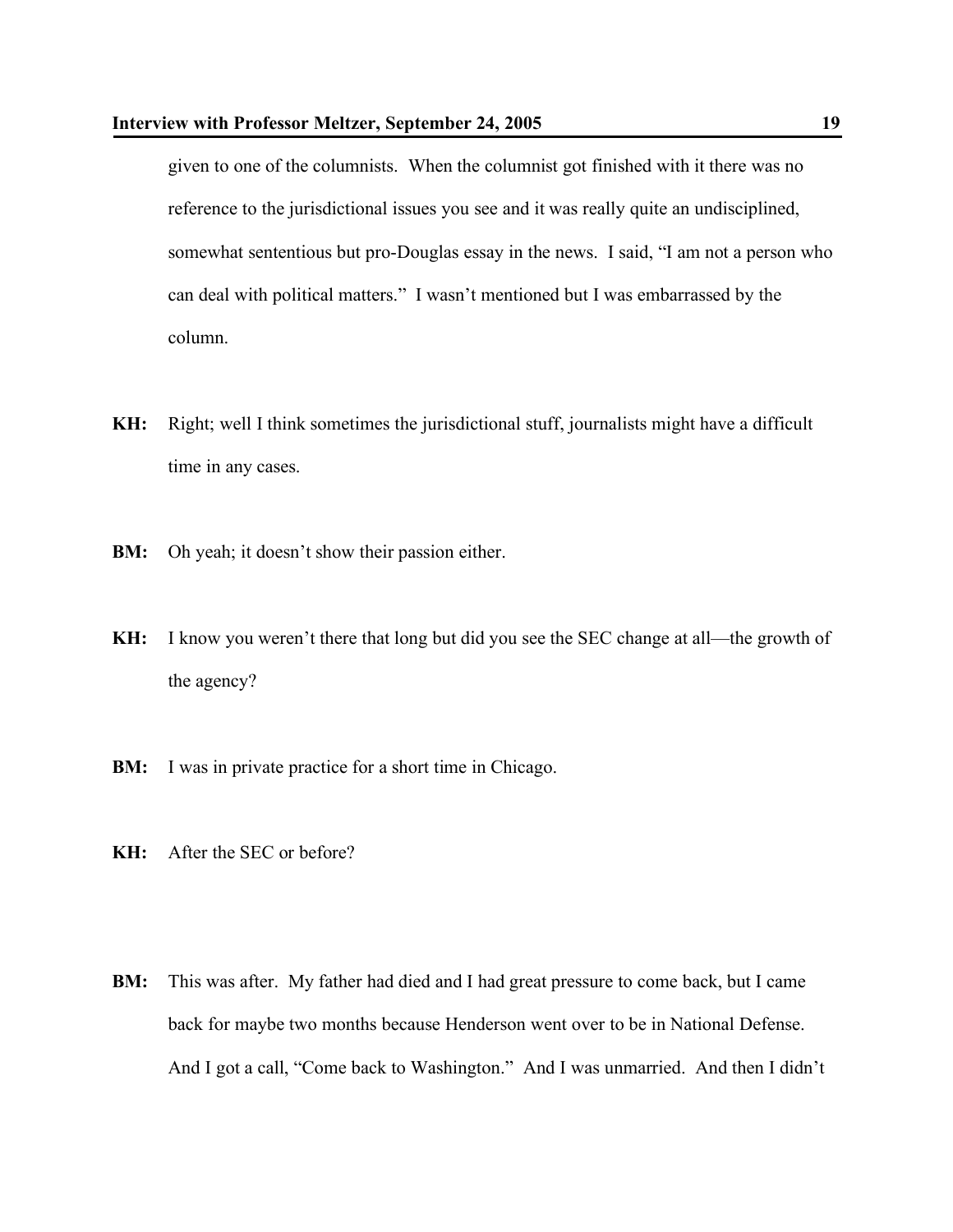given to one of the columnists. When the columnist got finished with it there was no reference to the jurisdictional issues you see and it was really quite an undisciplined, somewhat sententious but pro-Douglas essay in the news. I said, "I am not a person who can deal with political matters." I wasn't mentioned but I was embarrassed by the column.

- **KH:** Right; well I think sometimes the jurisdictional stuff, journalists might have a difficult time in any cases.
- **BM:** Oh yeah; it doesn't show their passion either.
- **KH:** I know you weren't there that long but did you see the SEC change at all—the growth of the agency?
- **BM:** I was in private practice for a short time in Chicago.
- **KH:** After the SEC or before?
- **BM:** This was after. My father had died and I had great pressure to come back, but I came back for maybe two months because Henderson went over to be in National Defense. And I got a call, "Come back to Washington." And I was unmarried. And then I didn't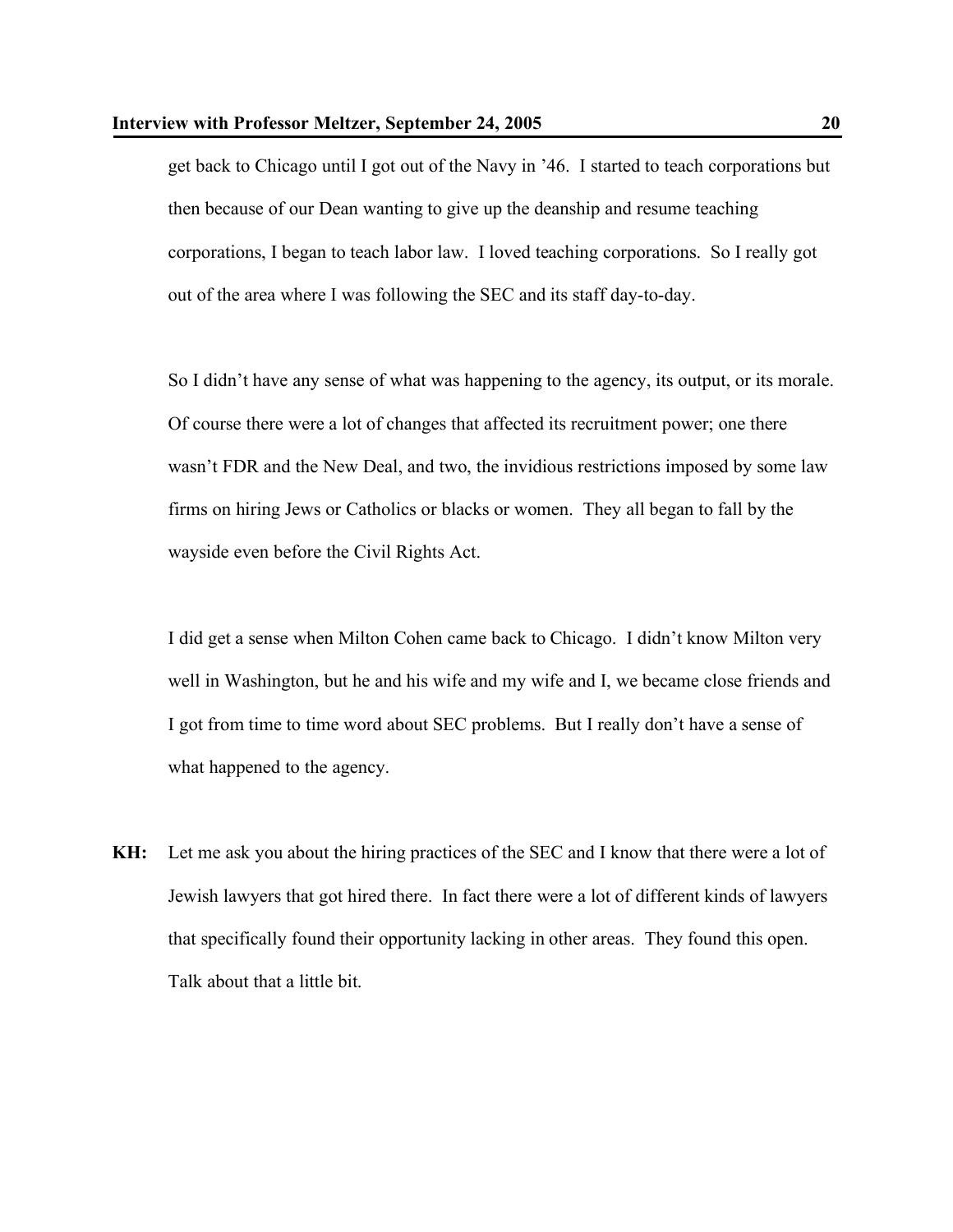get back to Chicago until I got out of the Navy in '46. I started to teach corporations but then because of our Dean wanting to give up the deanship and resume teaching corporations, I began to teach labor law. I loved teaching corporations. So I really got out of the area where I was following the SEC and its staff day-to-day.

So I didn't have any sense of what was happening to the agency, its output, or its morale. Of course there were a lot of changes that affected its recruitment power; one there wasn't FDR and the New Deal, and two, the invidious restrictions imposed by some law firms on hiring Jews or Catholics or blacks or women. They all began to fall by the wayside even before the Civil Rights Act.

I did get a sense when Milton Cohen came back to Chicago. I didn't know Milton very well in Washington, but he and his wife and my wife and I, we became close friends and I got from time to time word about SEC problems. But I really don't have a sense of what happened to the agency.

**KH:** Let me ask you about the hiring practices of the SEC and I know that there were a lot of Jewish lawyers that got hired there. In fact there were a lot of different kinds of lawyers that specifically found their opportunity lacking in other areas. They found this open. Talk about that a little bit.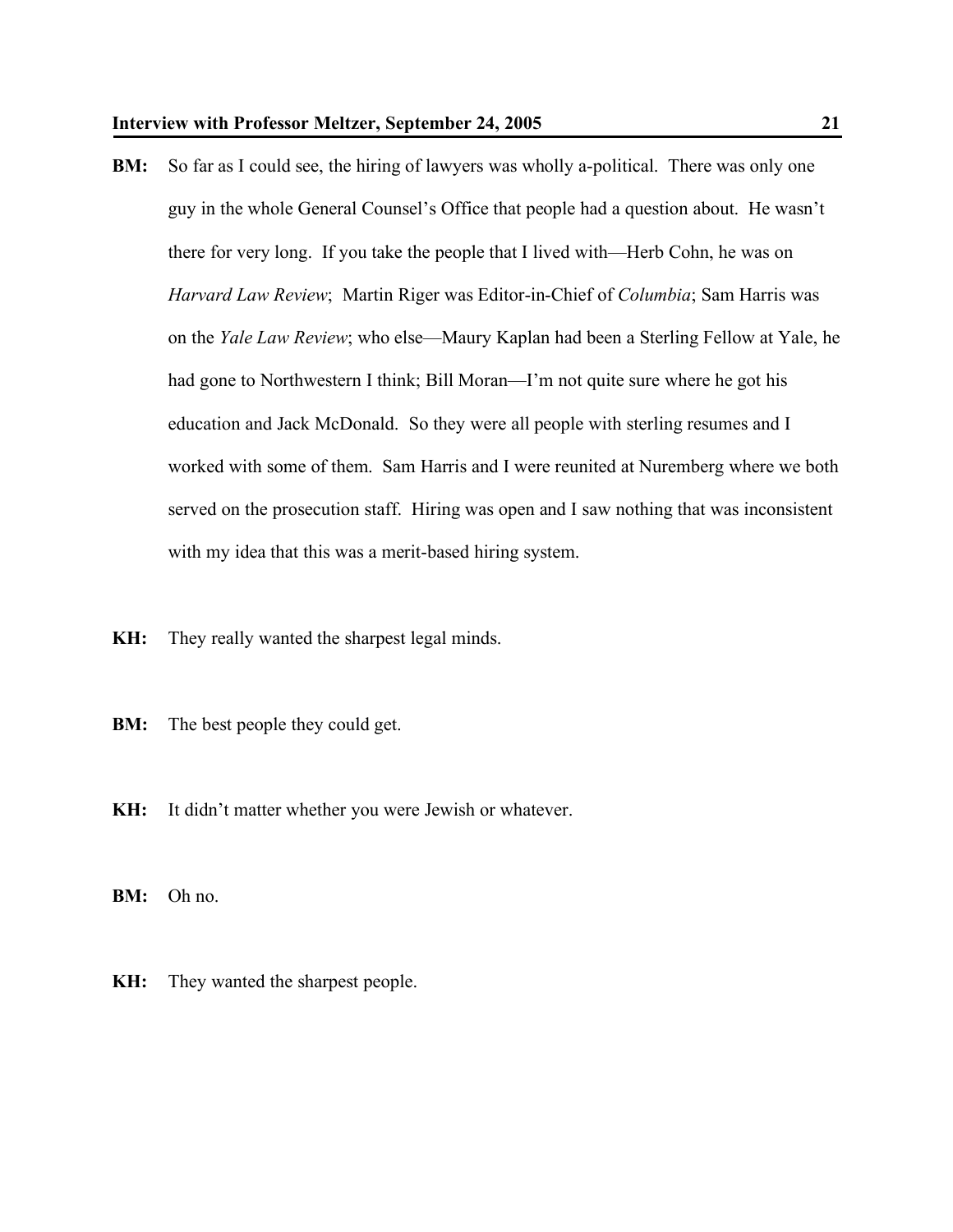**BM:** So far as I could see, the hiring of lawyers was wholly a-political. There was only one guy in the whole General Counsel's Office that people had a question about. He wasn't there for very long. If you take the people that I lived with—Herb Cohn, he was on *Harvard Law Review*; Martin Riger was Editor-in-Chief of *Columbia*; Sam Harris was on the *Yale Law Review*; who else—Maury Kaplan had been a Sterling Fellow at Yale, he had gone to Northwestern I think; Bill Moran—I'm not quite sure where he got his education and Jack McDonald. So they were all people with sterling resumes and I worked with some of them. Sam Harris and I were reunited at Nuremberg where we both served on the prosecution staff. Hiring was open and I saw nothing that was inconsistent with my idea that this was a merit-based hiring system.

**KH:** They really wanted the sharpest legal minds.

**BM:** The best people they could get.

**KH:** It didn't matter whether you were Jewish or whatever.

**BM:** Oh no.

**KH:** They wanted the sharpest people.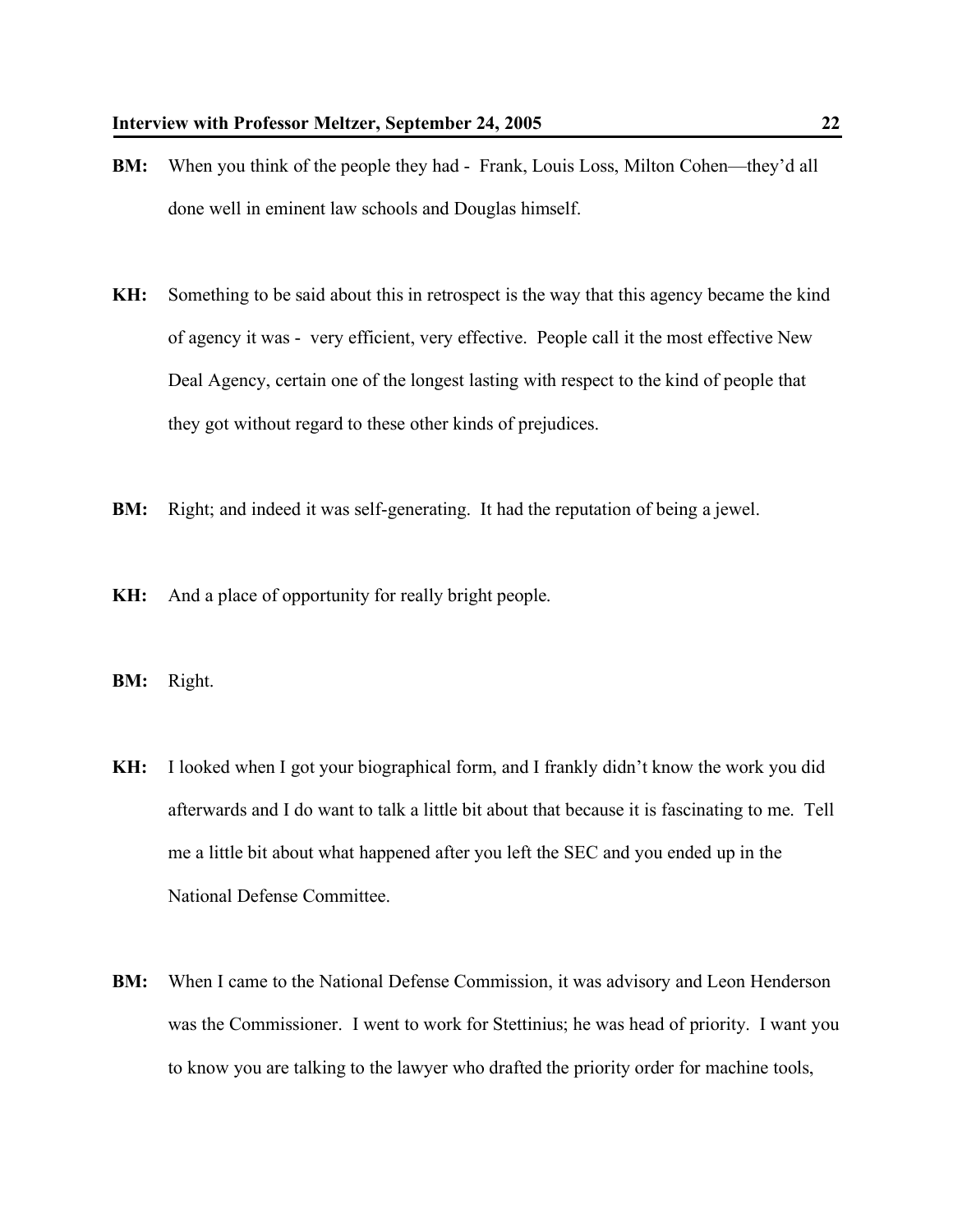- **BM:** When you think of the people they had Frank, Louis Loss, Milton Cohen—they'd all done well in eminent law schools and Douglas himself.
- **KH:** Something to be said about this in retrospect is the way that this agency became the kind of agency it was - very efficient, very effective. People call it the most effective New Deal Agency, certain one of the longest lasting with respect to the kind of people that they got without regard to these other kinds of prejudices.
- **BM:** Right; and indeed it was self-generating. It had the reputation of being a jewel.
- **KH:** And a place of opportunity for really bright people.
- **BM:** Right.
- **KH:** I looked when I got your biographical form, and I frankly didn't know the work you did afterwards and I do want to talk a little bit about that because it is fascinating to me. Tell me a little bit about what happened after you left the SEC and you ended up in the National Defense Committee.
- **BM:** When I came to the National Defense Commission, it was advisory and Leon Henderson was the Commissioner. I went to work for Stettinius; he was head of priority. I want you to know you are talking to the lawyer who drafted the priority order for machine tools,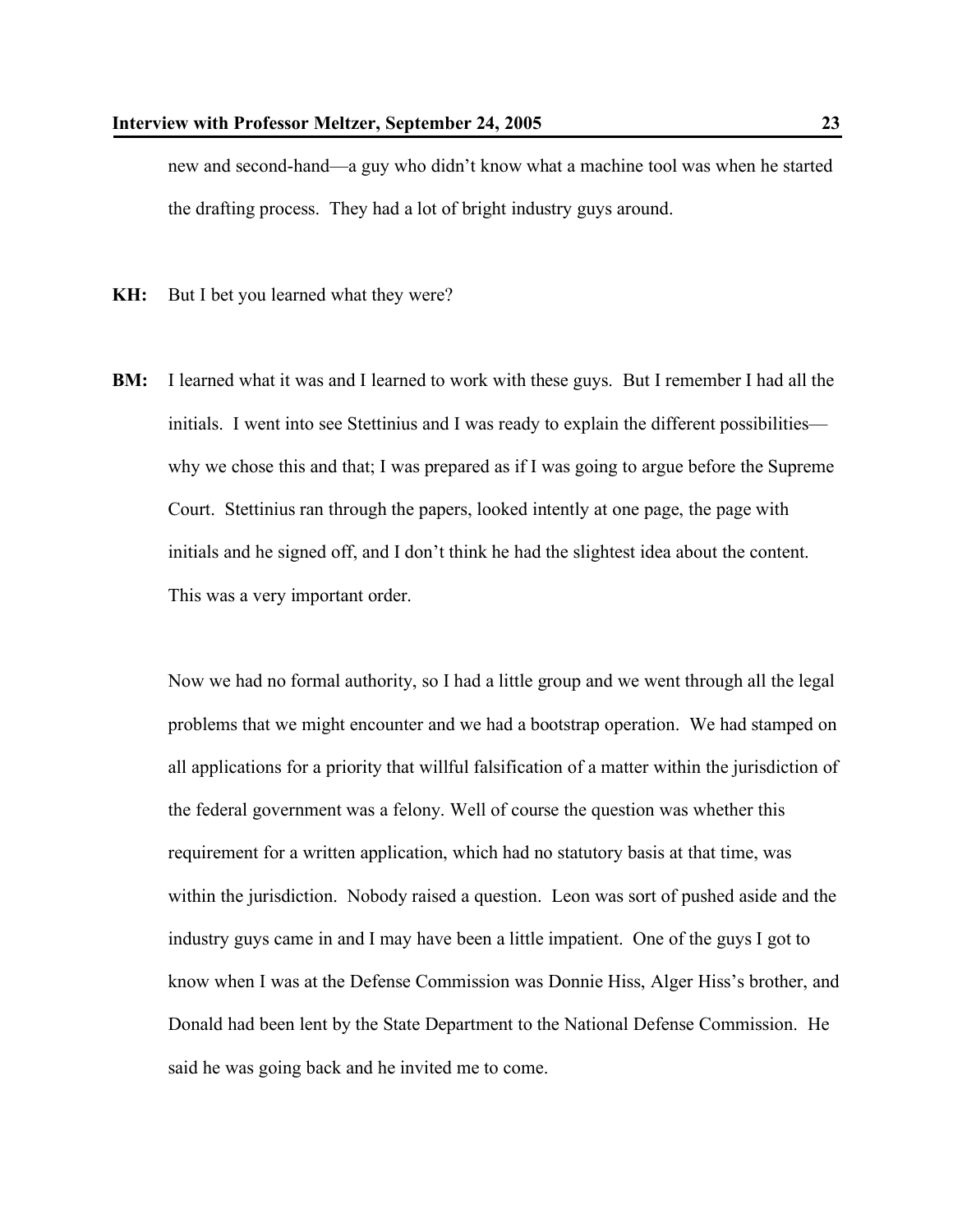new and second-hand—a guy who didn't know what a machine tool was when he started the drafting process. They had a lot of bright industry guys around.

**KH:** But I bet you learned what they were?

**BM:** I learned what it was and I learned to work with these guys. But I remember I had all the initials. I went into see Stettinius and I was ready to explain the different possibilities why we chose this and that; I was prepared as if I was going to argue before the Supreme Court. Stettinius ran through the papers, looked intently at one page, the page with initials and he signed off, and I don't think he had the slightest idea about the content. This was a very important order.

Now we had no formal authority, so I had a little group and we went through all the legal problems that we might encounter and we had a bootstrap operation. We had stamped on all applications for a priority that willful falsification of a matter within the jurisdiction of the federal government was a felony. Well of course the question was whether this requirement for a written application, which had no statutory basis at that time, was within the jurisdiction. Nobody raised a question. Leon was sort of pushed aside and the industry guys came in and I may have been a little impatient. One of the guys I got to know when I was at the Defense Commission was Donnie Hiss, Alger Hiss's brother, and Donald had been lent by the State Department to the National Defense Commission. He said he was going back and he invited me to come.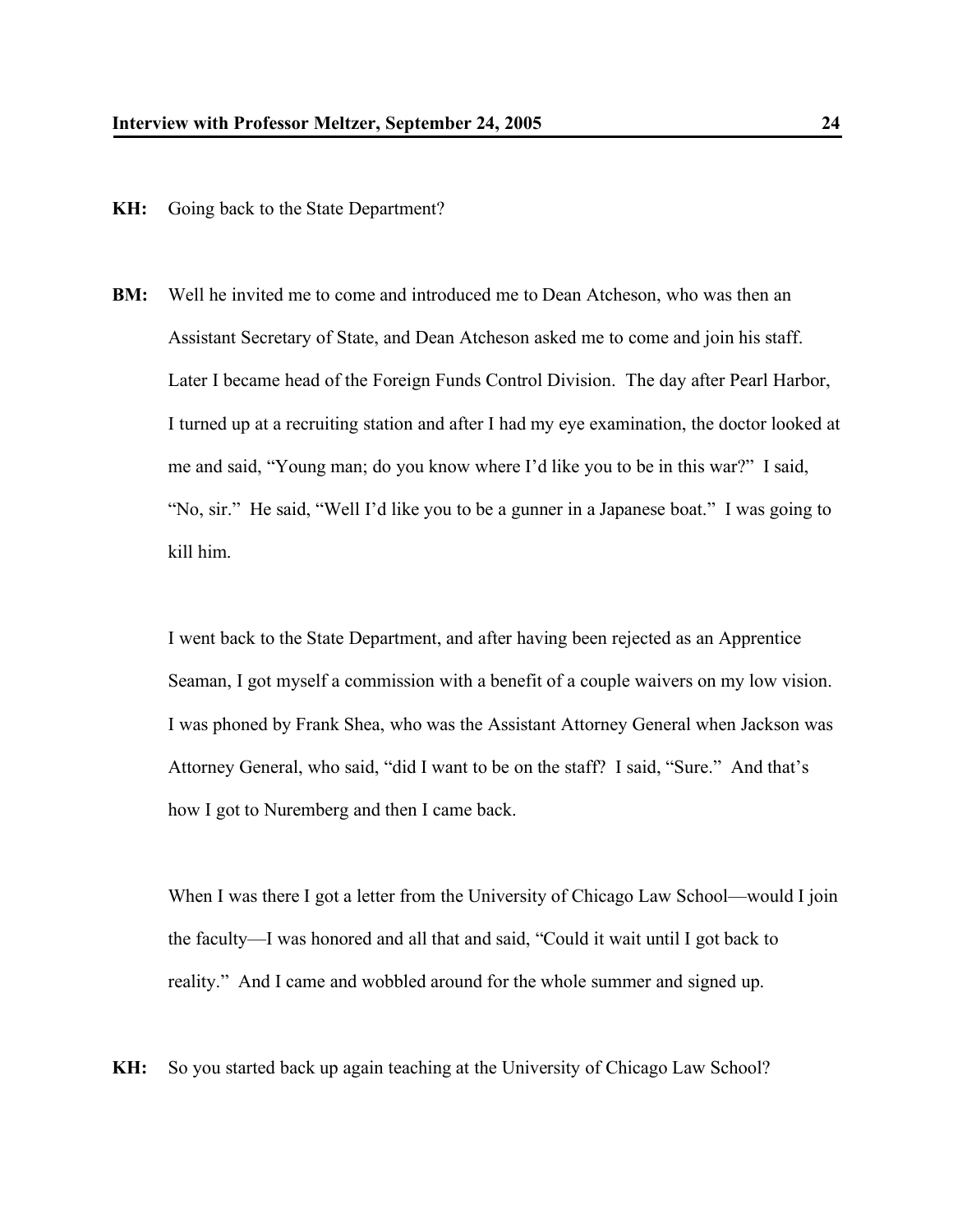**KH:** Going back to the State Department?

**BM:** Well he invited me to come and introduced me to Dean Atcheson, who was then an Assistant Secretary of State, and Dean Atcheson asked me to come and join his staff. Later I became head of the Foreign Funds Control Division. The day after Pearl Harbor, I turned up at a recruiting station and after I had my eye examination, the doctor looked at me and said, "Young man; do you know where I'd like you to be in this war?" I said, "No, sir." He said, "Well I'd like you to be a gunner in a Japanese boat." I was going to kill him.

I went back to the State Department, and after having been rejected as an Apprentice Seaman, I got myself a commission with a benefit of a couple waivers on my low vision. I was phoned by Frank Shea, who was the Assistant Attorney General when Jackson was Attorney General, who said, "did I want to be on the staff? I said, "Sure." And that's how I got to Nuremberg and then I came back.

When I was there I got a letter from the University of Chicago Law School—would I join the faculty—I was honored and all that and said, "Could it wait until I got back to reality." And I came and wobbled around for the whole summer and signed up.

**KH:** So you started back up again teaching at the University of Chicago Law School?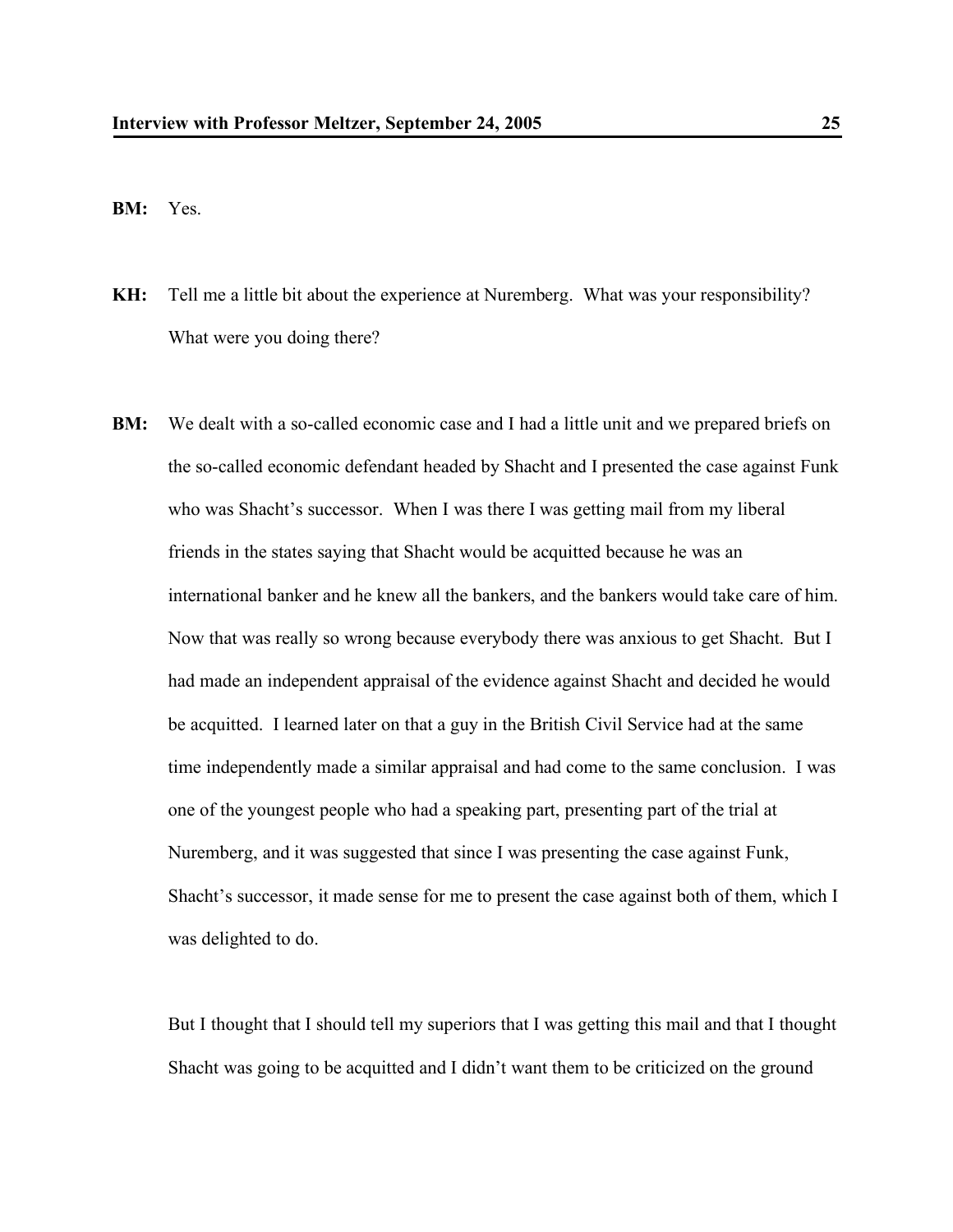**BM:** Yes.

- **KH:** Tell me a little bit about the experience at Nuremberg. What was your responsibility? What were you doing there?
- **BM:** We dealt with a so-called economic case and I had a little unit and we prepared briefs on the so-called economic defendant headed by Shacht and I presented the case against Funk who was Shacht's successor. When I was there I was getting mail from my liberal friends in the states saying that Shacht would be acquitted because he was an international banker and he knew all the bankers, and the bankers would take care of him. Now that was really so wrong because everybody there was anxious to get Shacht. But I had made an independent appraisal of the evidence against Shacht and decided he would be acquitted. I learned later on that a guy in the British Civil Service had at the same time independently made a similar appraisal and had come to the same conclusion. I was one of the youngest people who had a speaking part, presenting part of the trial at Nuremberg, and it was suggested that since I was presenting the case against Funk, Shacht's successor, it made sense for me to present the case against both of them, which I was delighted to do.

But I thought that I should tell my superiors that I was getting this mail and that I thought Shacht was going to be acquitted and I didn't want them to be criticized on the ground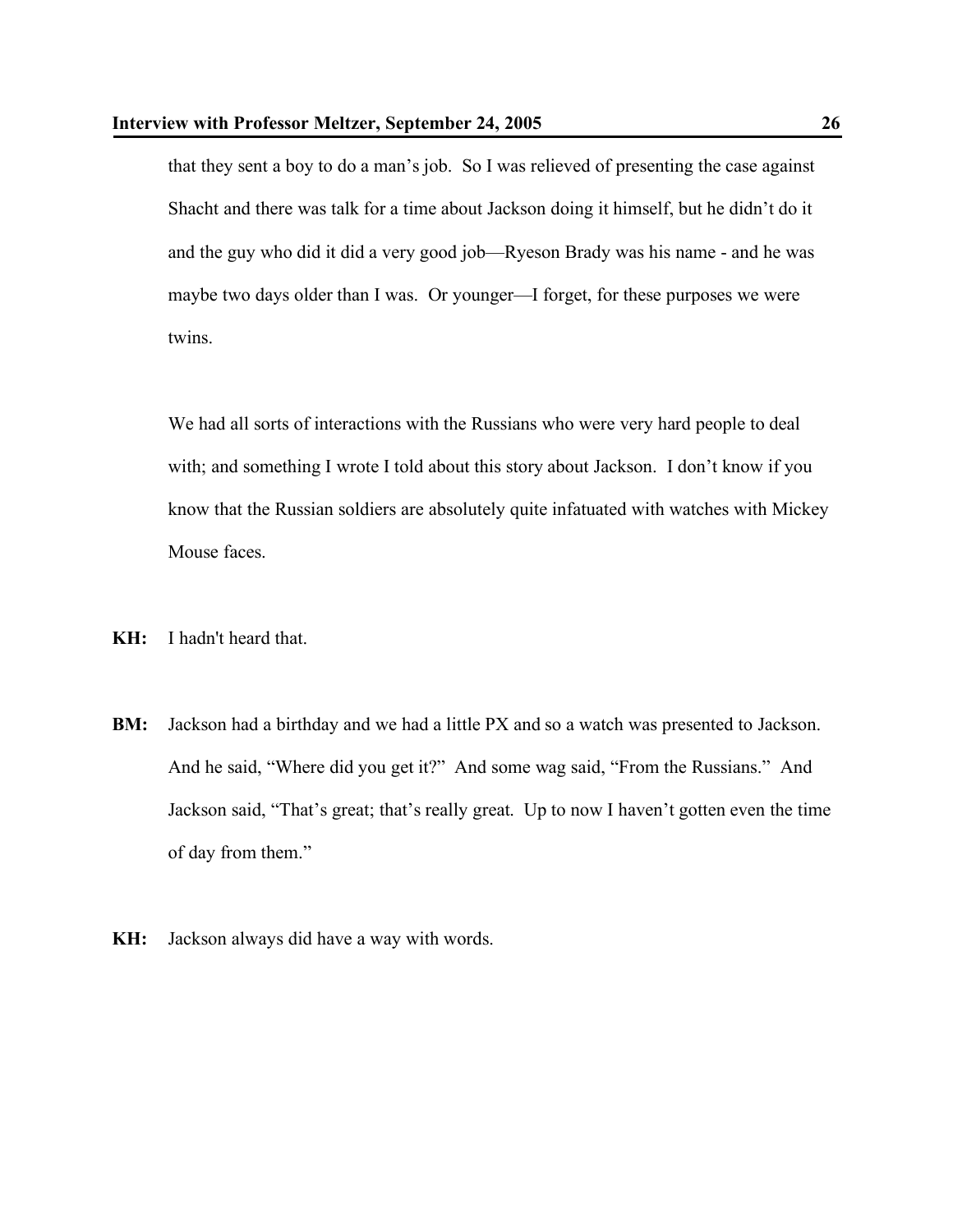that they sent a boy to do a man's job. So I was relieved of presenting the case against Shacht and there was talk for a time about Jackson doing it himself, but he didn't do it and the guy who did it did a very good job—Ryeson Brady was his name - and he was maybe two days older than I was. Or younger—I forget, for these purposes we were twins.

We had all sorts of interactions with the Russians who were very hard people to deal with; and something I wrote I told about this story about Jackson. I don't know if you know that the Russian soldiers are absolutely quite infatuated with watches with Mickey Mouse faces.

- **KH:** I hadn't heard that.
- **BM:** Jackson had a birthday and we had a little PX and so a watch was presented to Jackson. And he said, "Where did you get it?" And some wag said, "From the Russians." And Jackson said, "That's great; that's really great. Up to now I haven't gotten even the time of day from them."
- **KH:** Jackson always did have a way with words.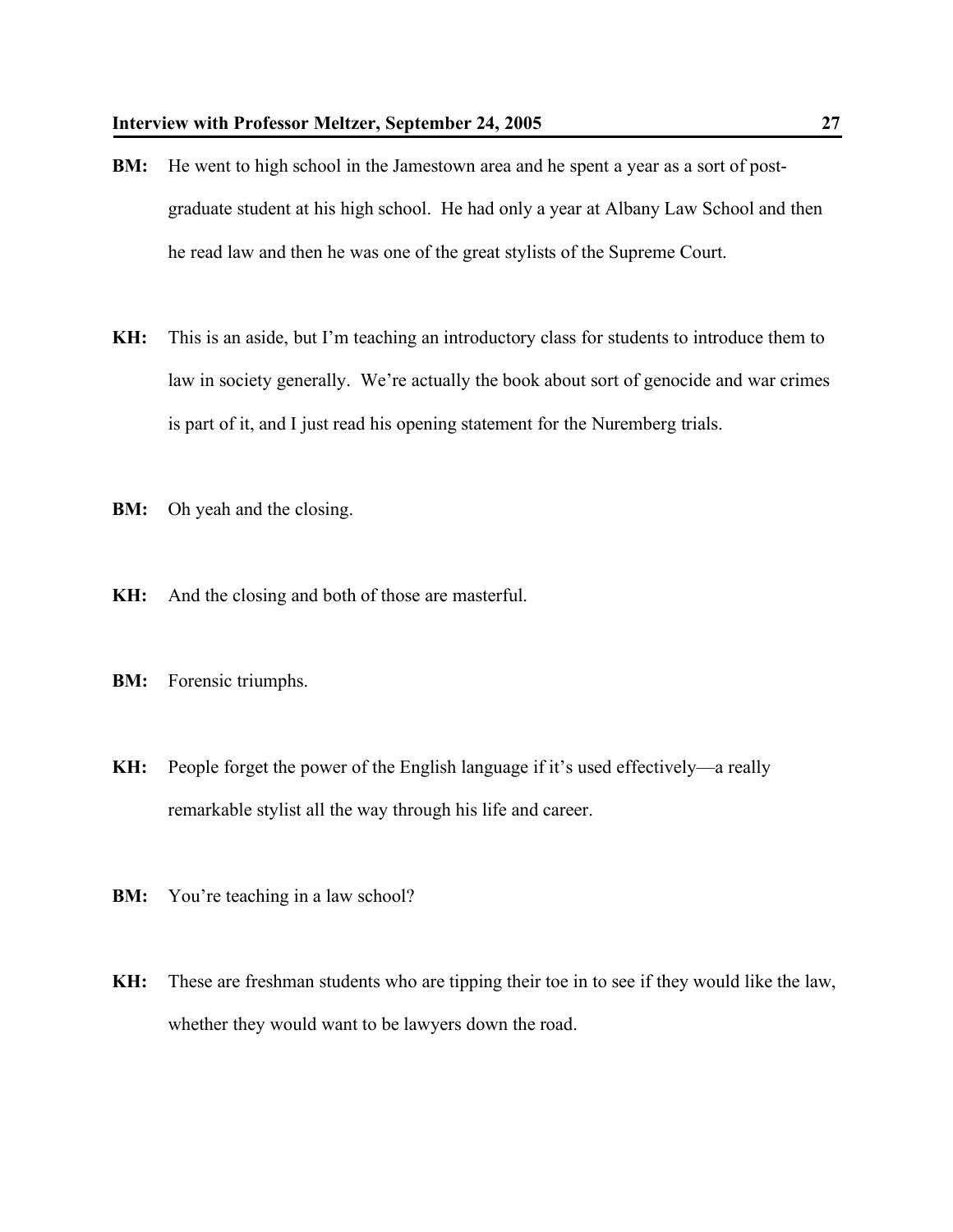- **BM:** He went to high school in the Jamestown area and he spent a year as a sort of postgraduate student at his high school. He had only a year at Albany Law School and then he read law and then he was one of the great stylists of the Supreme Court.
- **KH:** This is an aside, but I'm teaching an introductory class for students to introduce them to law in society generally. We're actually the book about sort of genocide and war crimes is part of it, and I just read his opening statement for the Nuremberg trials.
- **BM:** Oh yeah and the closing.
- **KH:** And the closing and both of those are masterful.
- **BM:** Forensic triumphs.
- **KH:** People forget the power of the English language if it's used effectively—a really remarkable stylist all the way through his life and career.
- **BM:** You're teaching in a law school?
- **KH:** These are freshman students who are tipping their toe in to see if they would like the law, whether they would want to be lawyers down the road.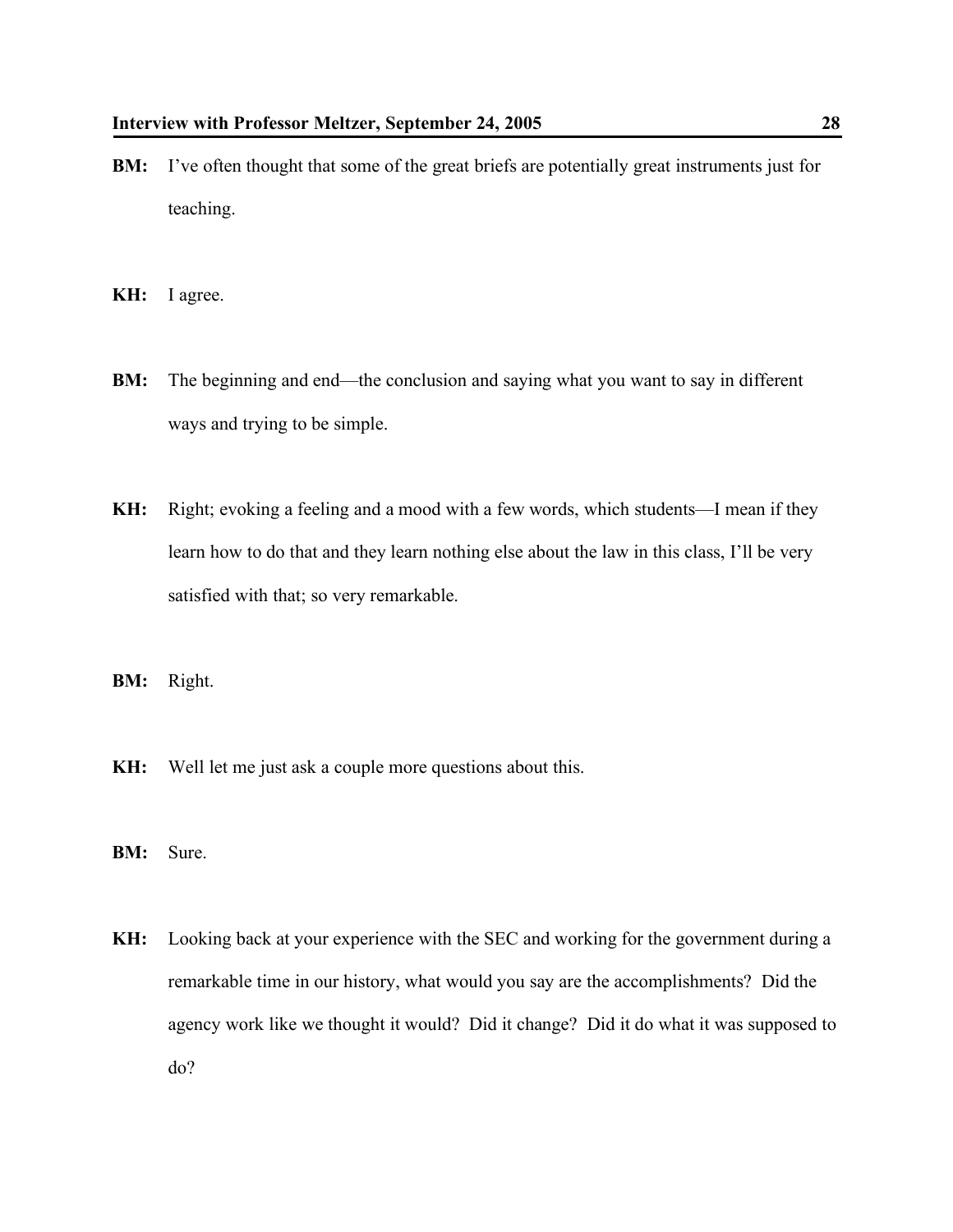- **BM:** I've often thought that some of the great briefs are potentially great instruments just for teaching.
- **KH:** I agree.
- **BM:** The beginning and end—the conclusion and saying what you want to say in different ways and trying to be simple.
- **KH:** Right; evoking a feeling and a mood with a few words, which students—I mean if they learn how to do that and they learn nothing else about the law in this class, I'll be very satisfied with that; so very remarkable.
- **BM:** Right.
- **KH:** Well let me just ask a couple more questions about this.
- **BM:** Sure.
- **KH:** Looking back at your experience with the SEC and working for the government during a remarkable time in our history, what would you say are the accomplishments? Did the agency work like we thought it would? Did it change? Did it do what it was supposed to do?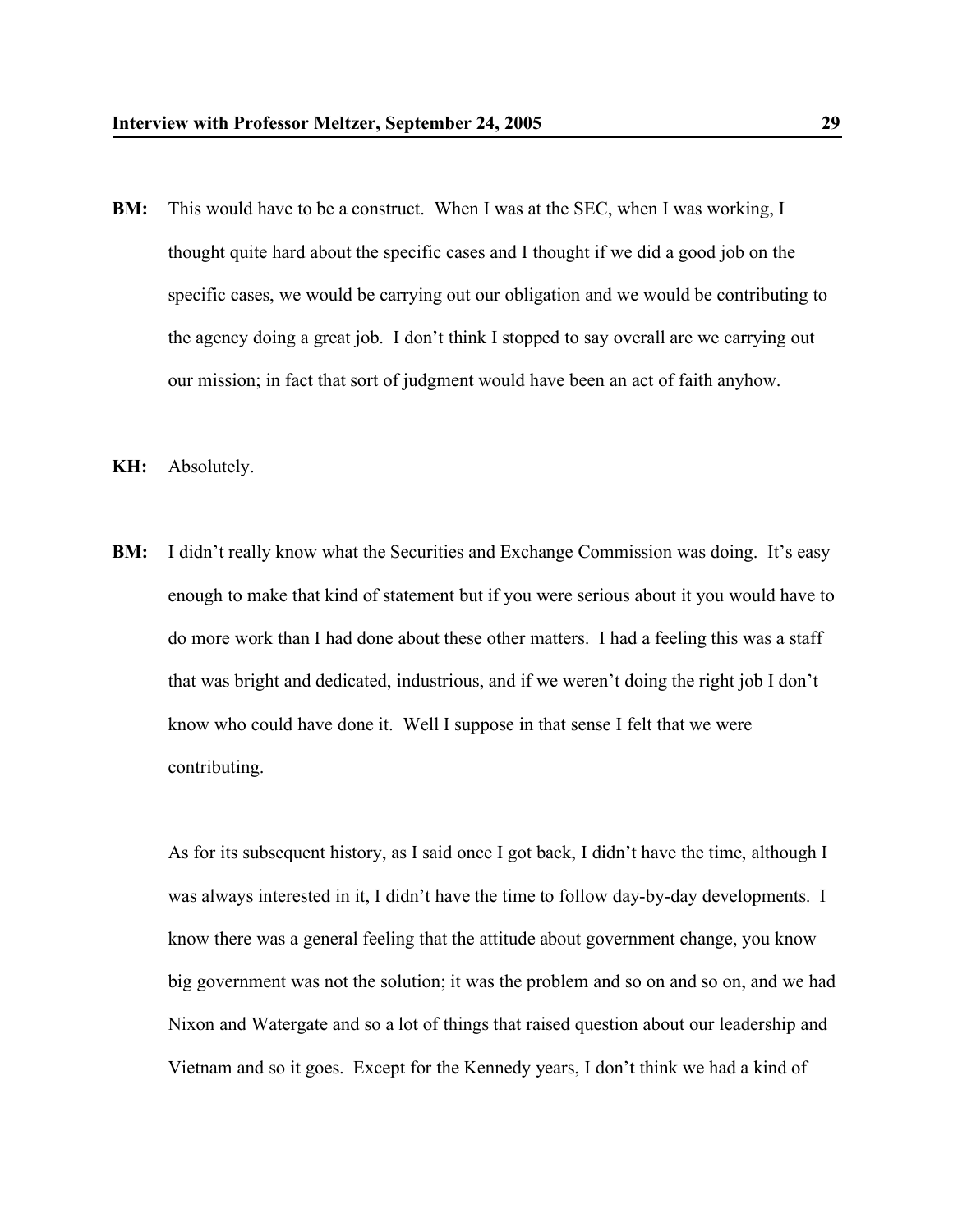- **BM:** This would have to be a construct. When I was at the SEC, when I was working, I thought quite hard about the specific cases and I thought if we did a good job on the specific cases, we would be carrying out our obligation and we would be contributing to the agency doing a great job. I don't think I stopped to say overall are we carrying out our mission; in fact that sort of judgment would have been an act of faith anyhow.
- **KH:** Absolutely.
- **BM:** I didn't really know what the Securities and Exchange Commission was doing. It's easy enough to make that kind of statement but if you were serious about it you would have to do more work than I had done about these other matters. I had a feeling this was a staff that was bright and dedicated, industrious, and if we weren't doing the right job I don't know who could have done it. Well I suppose in that sense I felt that we were contributing.

As for its subsequent history, as I said once I got back, I didn't have the time, although I was always interested in it, I didn't have the time to follow day-by-day developments. I know there was a general feeling that the attitude about government change, you know big government was not the solution; it was the problem and so on and so on, and we had Nixon and Watergate and so a lot of things that raised question about our leadership and Vietnam and so it goes. Except for the Kennedy years, I don't think we had a kind of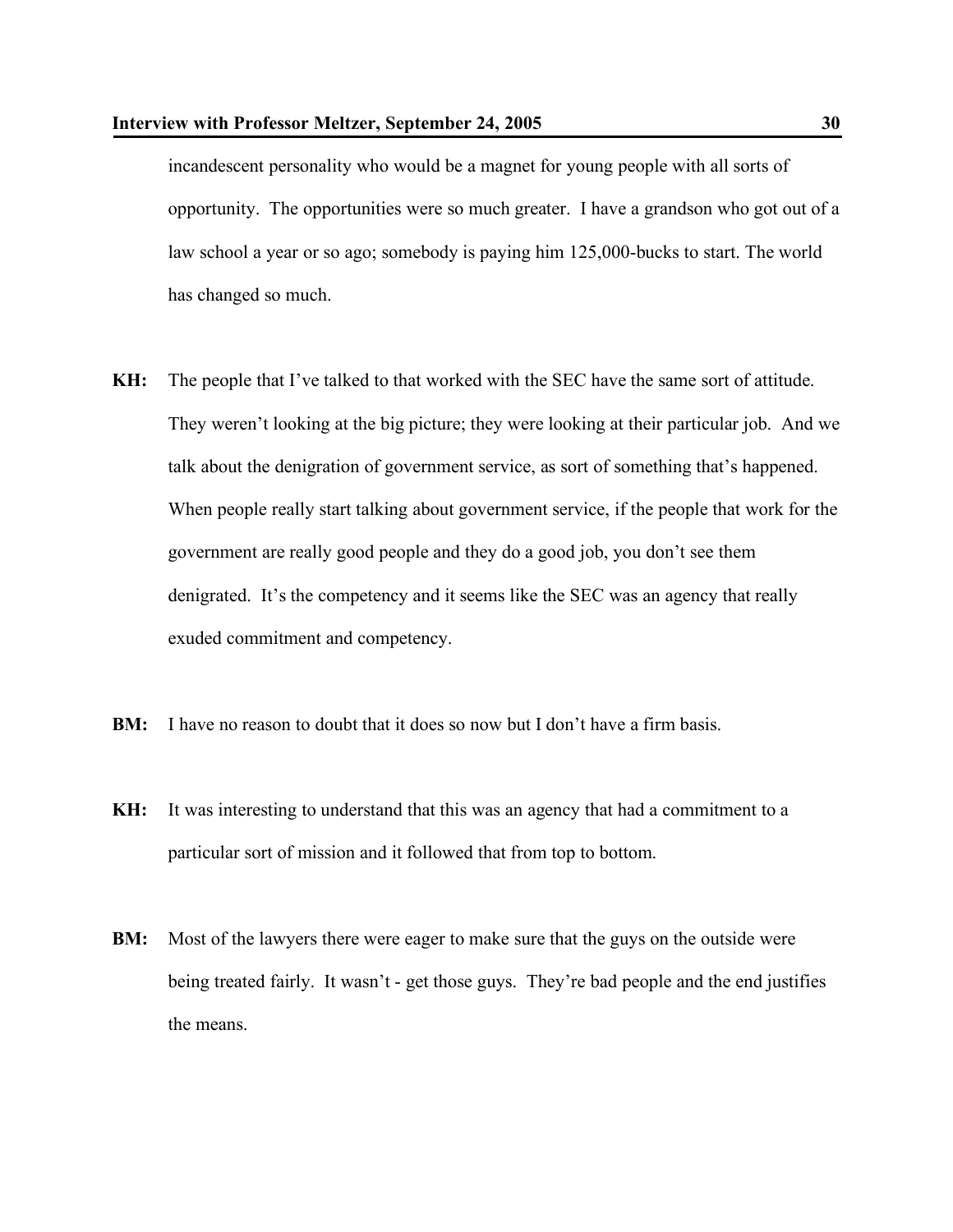incandescent personality who would be a magnet for young people with all sorts of opportunity. The opportunities were so much greater. I have a grandson who got out of a law school a year or so ago; somebody is paying him 125,000-bucks to start. The world has changed so much.

- **KH:** The people that I've talked to that worked with the SEC have the same sort of attitude. They weren't looking at the big picture; they were looking at their particular job. And we talk about the denigration of government service, as sort of something that's happened. When people really start talking about government service, if the people that work for the government are really good people and they do a good job, you don't see them denigrated. It's the competency and it seems like the SEC was an agency that really exuded commitment and competency.
- **BM:** I have no reason to doubt that it does so now but I don't have a firm basis.
- **KH:** It was interesting to understand that this was an agency that had a commitment to a particular sort of mission and it followed that from top to bottom.
- **BM:** Most of the lawyers there were eager to make sure that the guys on the outside were being treated fairly. It wasn't - get those guys. They're bad people and the end justifies the means.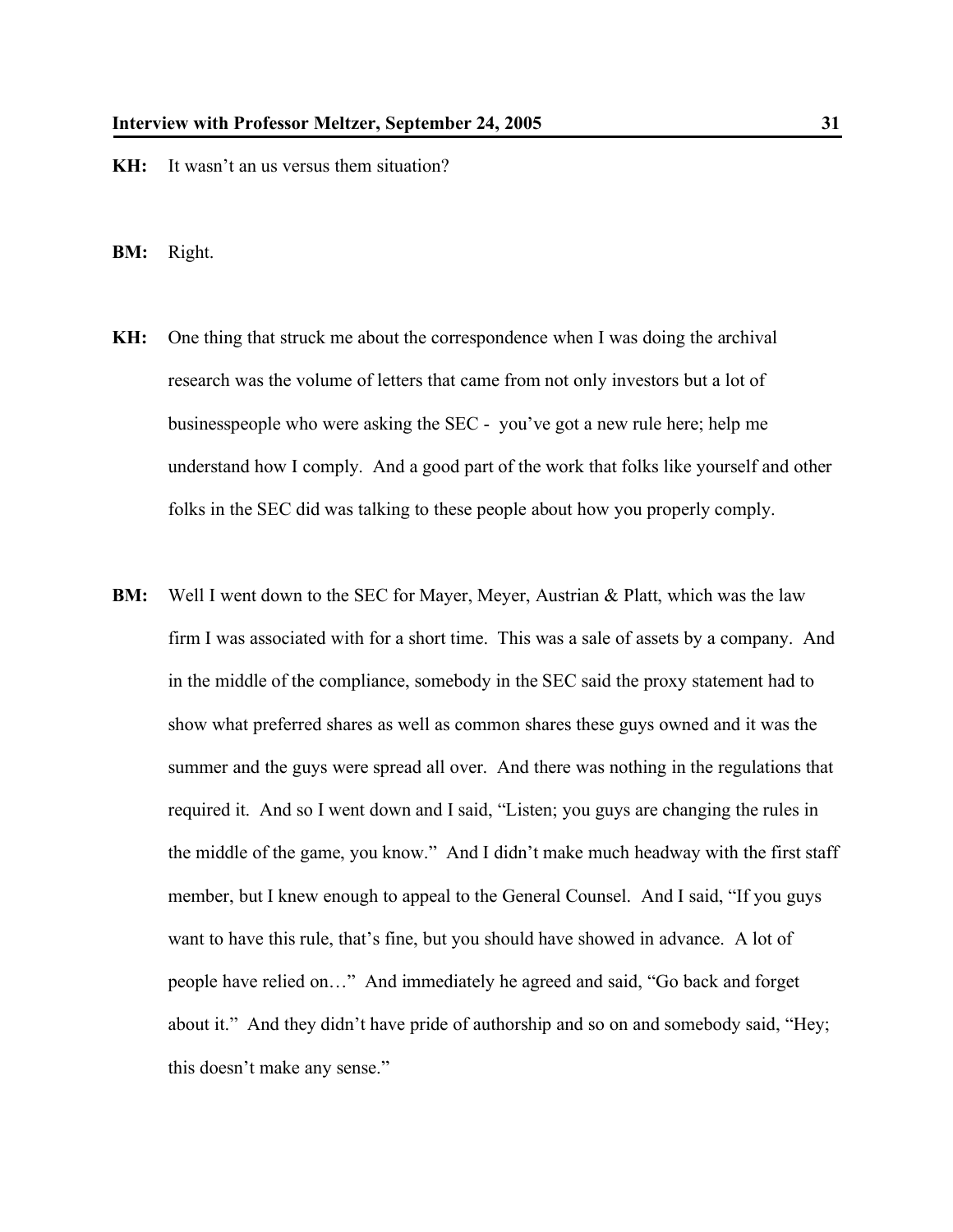- **KH:** It wasn't an us versus them situation?
- **BM:** Right.
- **KH:** One thing that struck me about the correspondence when I was doing the archival research was the volume of letters that came from not only investors but a lot of businesspeople who were asking the SEC - you've got a new rule here; help me understand how I comply. And a good part of the work that folks like yourself and other folks in the SEC did was talking to these people about how you properly comply.
- **BM:** Well I went down to the SEC for Mayer, Meyer, Austrian & Platt, which was the law firm I was associated with for a short time. This was a sale of assets by a company. And in the middle of the compliance, somebody in the SEC said the proxy statement had to show what preferred shares as well as common shares these guys owned and it was the summer and the guys were spread all over. And there was nothing in the regulations that required it. And so I went down and I said, "Listen; you guys are changing the rules in the middle of the game, you know." And I didn't make much headway with the first staff member, but I knew enough to appeal to the General Counsel. And I said, "If you guys want to have this rule, that's fine, but you should have showed in advance. A lot of people have relied on…" And immediately he agreed and said, "Go back and forget about it." And they didn't have pride of authorship and so on and somebody said, "Hey; this doesn't make any sense."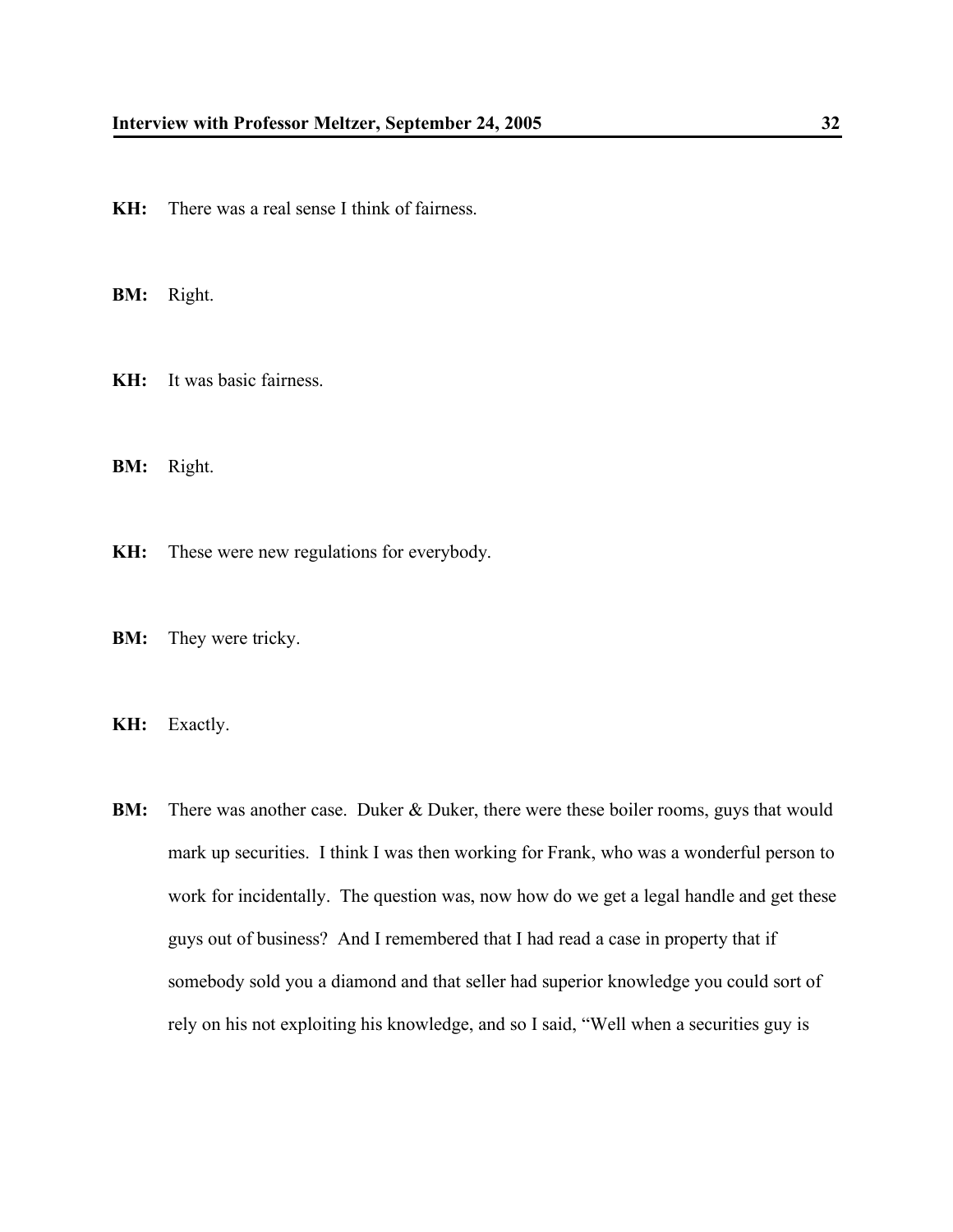**KH:** There was a real sense I think of fairness.

**BM:** Right.

**KH:** It was basic fairness.

**BM:** Right.

**KH:** These were new regulations for everybody.

**BM:** They were tricky.

**KH:** Exactly.

**BM:** There was another case. Duker & Duker, there were these boiler rooms, guys that would mark up securities. I think I was then working for Frank, who was a wonderful person to work for incidentally. The question was, now how do we get a legal handle and get these guys out of business? And I remembered that I had read a case in property that if somebody sold you a diamond and that seller had superior knowledge you could sort of rely on his not exploiting his knowledge, and so I said, "Well when a securities guy is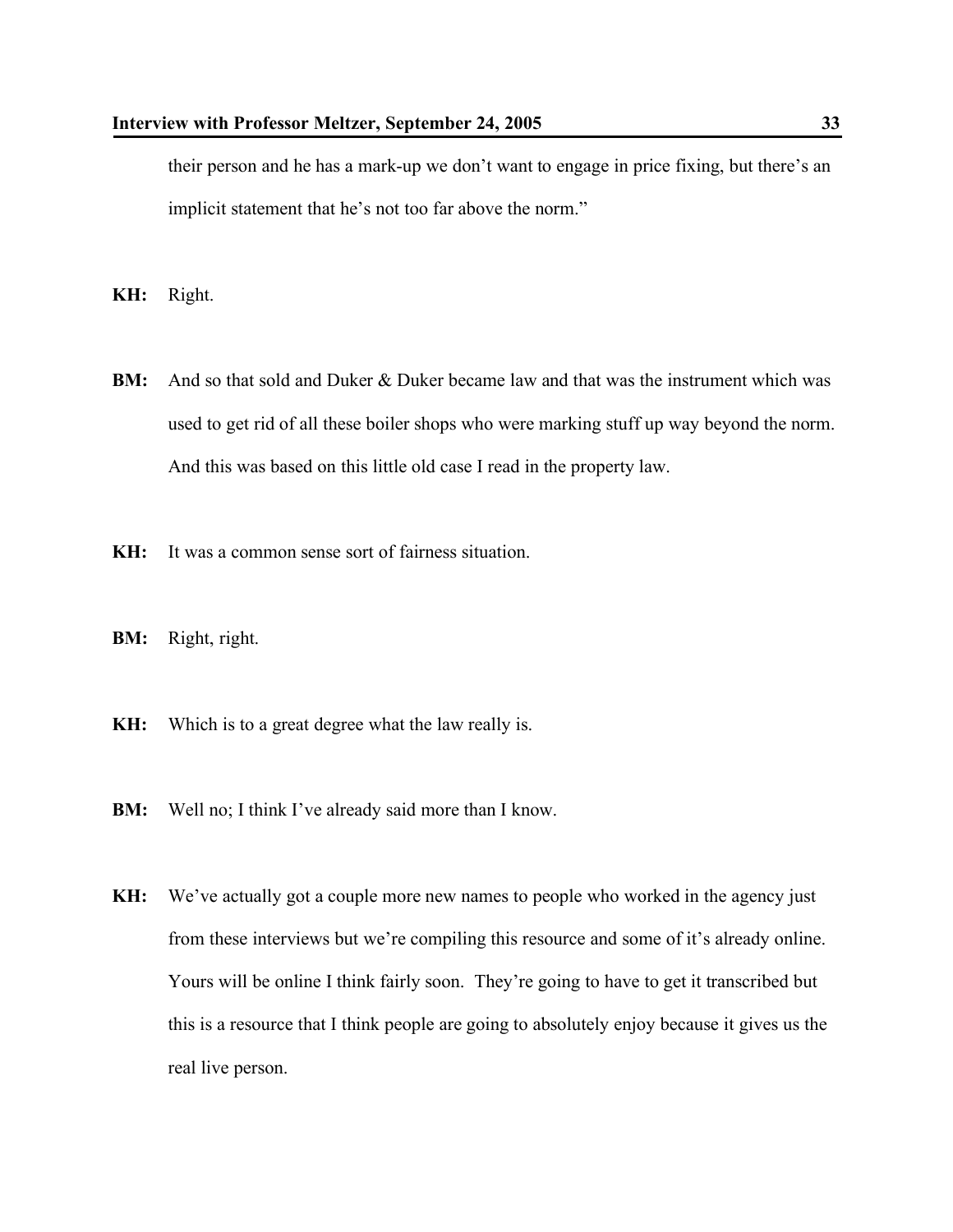their person and he has a mark-up we don't want to engage in price fixing, but there's an implicit statement that he's not too far above the norm."

**KH:** Right.

- **BM:** And so that sold and Duker & Duker became law and that was the instrument which was used to get rid of all these boiler shops who were marking stuff up way beyond the norm. And this was based on this little old case I read in the property law.
- **KH:** It was a common sense sort of fairness situation.
- **BM:** Right, right.
- **KH:** Which is to a great degree what the law really is.
- **BM:** Well no; I think I've already said more than I know.
- **KH:** We've actually got a couple more new names to people who worked in the agency just from these interviews but we're compiling this resource and some of it's already online. Yours will be online I think fairly soon. They're going to have to get it transcribed but this is a resource that I think people are going to absolutely enjoy because it gives us the real live person.